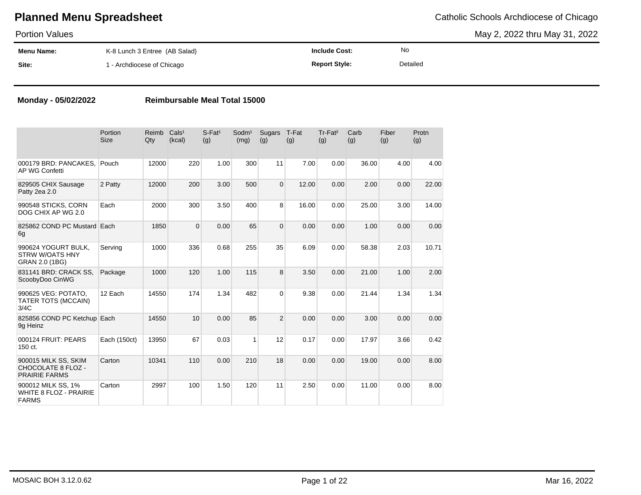May 2, 2022 thru May 31, 2022

| <b>Portion Values</b> |                               |                      |          | May 2, 2022 thru |
|-----------------------|-------------------------------|----------------------|----------|------------------|
| Menu Name:            | K-8 Lunch 3 Entree (AB Salad) | <b>Include Cost:</b> | No       |                  |
| Site:                 | 1 - Archdiocese of Chicago    | <b>Report Style:</b> | Detailed |                  |

### **Monday - 05/02/2022 Reimbursable Meal Total 15000**

|                                                                     | Portion<br><b>Size</b> | Reimb<br>$Q$ ty | Cals <sup>1</sup><br>(kcal) | $S$ -Fat <sup>1</sup><br>(g) | Sodm <sup>1</sup><br>(mg) | Sugars<br>(g)  | T-Fat<br>(g) | Tr-Fat <sup>2</sup><br>(g) | Carb<br>(g) | Fiber<br>(g) | Protn<br>(g) |
|---------------------------------------------------------------------|------------------------|-----------------|-----------------------------|------------------------------|---------------------------|----------------|--------------|----------------------------|-------------|--------------|--------------|
| 000179 BRD: PANCAKES,<br>AP WG Confetti                             | Pouch                  | 12000           | 220                         | 1.00                         | 300                       | 11             | 7.00         | 0.00                       | 36.00       | 4.00         | 4.00         |
| 829505 CHIX Sausage<br>Patty 2ea 2.0                                | 2 Patty                | 12000           | 200                         | 3.00                         | 500                       | $\Omega$       | 12.00        | 0.00                       | 2.00        | 0.00         | 22.00        |
| 990548 STICKS, CORN<br>DOG CHIX AP WG 2.0                           | Each                   | 2000            | 300                         | 3.50                         | 400                       | 8              | 16.00        | 0.00                       | 25.00       | 3.00         | 14.00        |
| 825862 COND PC Mustard Each<br>6g                                   |                        | 1850            | $\Omega$                    | 0.00                         | 65                        | $\overline{0}$ | 0.00         | 0.00                       | 1.00        | 0.00         | 0.00         |
| 990624 YOGURT BULK,<br><b>STRW W/OATS HNY</b><br>GRAN 2.0 (1BG)     | Serving                | 1000            | 336                         | 0.68                         | 255                       | 35             | 6.09         | 0.00                       | 58.38       | 2.03         | 10.71        |
| 831141 BRD: CRACK SS.<br>ScoobyDoo CinWG                            | Package                | 1000            | 120                         | 1.00                         | 115                       | 8              | 3.50         | 0.00                       | 21.00       | 1.00         | 2.00         |
| 990625 VEG: POTATO,<br>TATER TOTS (MCCAIN)<br>3/4C                  | 12 Each                | 14550           | 174                         | 1.34                         | 482                       | $\Omega$       | 9.38         | 0.00                       | 21.44       | 1.34         | 1.34         |
| 825856 COND PC Ketchup Each<br>9g Heinz                             |                        | 14550           | 10                          | 0.00                         | 85                        | $\overline{2}$ | 0.00         | 0.00                       | 3.00        | 0.00         | 0.00         |
| 000124 FRUIT: PEARS<br>150 ct.                                      | Each (150ct)           | 13950           | 67                          | 0.03                         | $\mathbf{1}$              | 12             | 0.17         | 0.00                       | 17.97       | 3.66         | 0.42         |
| 900015 MILK SS, SKIM<br>CHOCOLATE 8 FLOZ -<br><b>PRAIRIE FARMS</b>  | Carton                 | 10341           | 110                         | 0.00                         | 210                       | 18             | 0.00         | 0.00                       | 19.00       | 0.00         | 8.00         |
| 900012 MILK SS, 1%<br><b>WHITE 8 FLOZ - PRAIRIE</b><br><b>FARMS</b> | Carton                 | 2997            | 100                         | 1.50                         | 120                       | 11             | 2.50         | 0.00                       | 11.00       | 0.00         | 8.00         |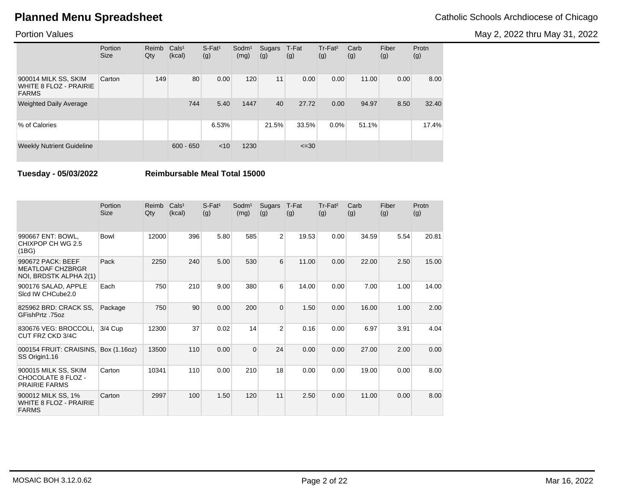May 2, 2022 thru May 31, 2022

### Portion Values

|                                                                       | Portion<br><b>Size</b> | Reimb<br>Qty | Cals <sup>1</sup><br>(kcal) | $S$ -Fat <sup>1</sup><br>(g) | $S$ odm $1$<br>(mg) | Sugars<br>(g) | T-Fat<br>(g) | Tr-Fat <sup>2</sup><br>(g) | Carb<br>(g) | Fiber<br>(g) | Protn<br>(g) |
|-----------------------------------------------------------------------|------------------------|--------------|-----------------------------|------------------------------|---------------------|---------------|--------------|----------------------------|-------------|--------------|--------------|
| 900014 MILK SS, SKIM<br><b>WHITE 8 FLOZ - PRAIRIE</b><br><b>FARMS</b> | Carton                 | 149          | 80                          | 0.00                         | 120                 | 11            | 0.00         | 0.00                       | 11.00       | 0.00         | 8.00         |
| <b>Weighted Daily Average</b>                                         |                        |              | 744                         | 5.40                         | 1447                | 40            | 27.72        | 0.00                       | 94.97       | 8.50         | 32.40        |
| % of Calories                                                         |                        |              |                             | 6.53%                        |                     | 21.5%         | 33.5%        | $0.0\%$                    | 51.1%       |              | 17.4%        |
| <b>Weekly Nutrient Guideline</b>                                      |                        |              | $600 - 650$                 | < 10                         | 1230                |               | $\leq 30$    |                            |             |              |              |

**Tuesday - 05/03/2022 Reimbursable Meal Total 15000**

|                                                                        | Portion<br><b>Size</b> | Reimb<br>Qty | Cals <sup>1</sup><br>(kcal) | $S$ -Fat <sup>1</sup><br>(g) | Sodm <sup>1</sup><br>(mg) | <b>Sugars</b><br>(g) | T-Fat<br>(g) | Tr-Fat <sup>2</sup><br>(g) | Carb<br>(g) | Fiber<br>(g) | Protn<br>(g) |
|------------------------------------------------------------------------|------------------------|--------------|-----------------------------|------------------------------|---------------------------|----------------------|--------------|----------------------------|-------------|--------------|--------------|
| 990667 ENT: BOWL,<br>CHIXPOP CH WG 2.5<br>(1BG)                        | Bowl                   | 12000        | 396                         | 5.80                         | 585                       | $\overline{2}$       | 19.53        | 0.00                       | 34.59       | 5.54         | 20.81        |
| 990672 PACK: BEEF<br><b>MEATLOAF CHZBRGR</b><br>NOI, BRDSTK ALPHA 2(1) | Pack                   | 2250         | 240                         | 5.00                         | 530                       | 6                    | 11.00        | 0.00                       | 22.00       | 2.50         | 15.00        |
| 900176 SALAD, APPLE<br>Sicd IW CHCube2.0                               | Each                   | 750          | 210                         | 9.00                         | 380                       | 6                    | 14.00        | 0.00                       | 7.00        | 1.00         | 14.00        |
| 825962 BRD: CRACK SS,<br>GFishPrtz .75oz                               | Package                | 750          | 90                          | 0.00                         | 200                       | $\mathbf 0$          | 1.50         | 0.00                       | 16.00       | 1.00         | 2.00         |
| 830676 VEG: BROCCOLI,<br>CUT FRZ CKD 3/4C                              | 3/4 Cup                | 12300        | 37                          | 0.02                         | 14                        | $\overline{2}$       | 0.16         | 0.00                       | 6.97        | 3.91         | 4.04         |
| 000154 FRUIT: CRAISINS,<br>SS Origin1.16                               | Box (1.16oz)           | 13500        | 110                         | 0.00                         | $\overline{0}$            | 24                   | 0.00         | 0.00                       | 27.00       | 2.00         | 0.00         |
| 900015 MILK SS, SKIM<br>CHOCOLATE 8 FLOZ -<br><b>PRAIRIE FARMS</b>     | Carton                 | 10341        | 110                         | 0.00                         | 210                       | 18                   | 0.00         | 0.00                       | 19.00       | 0.00         | 8.00         |
| 900012 MILK SS, 1%<br><b>WHITE 8 FLOZ - PRAIRIE</b><br><b>FARMS</b>    | Carton                 | 2997         | 100                         | 1.50                         | 120                       | 11                   | 2.50         | 0.00                       | 11.00       | 0.00         | 8.00         |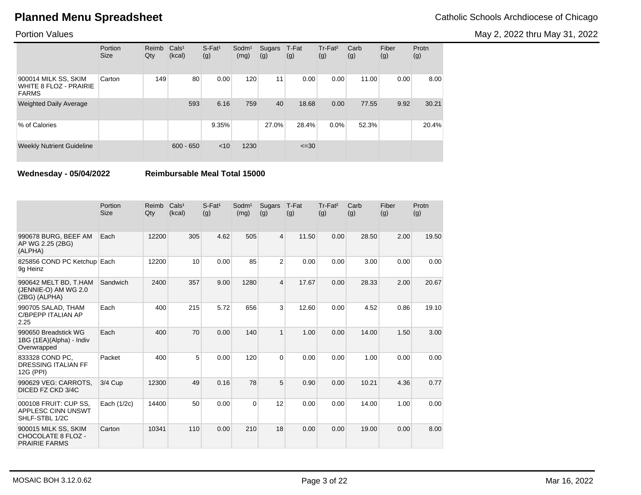May 2, 2022 thru May 31, 2022

### Portion Values

|                                                                       | Portion<br><b>Size</b> | Reimb<br>Qty | Cals <sup>1</sup><br>(kcal) | $S$ -Fat <sup>1</sup><br>(g) | $S$ odm $1$<br>(mg) | Sugars<br>(g) | T-Fat<br>(g) | Tr-Fat <sup>2</sup><br>(g) | Carb<br>(g) | Fiber<br>(g) | Protn<br>(g) |
|-----------------------------------------------------------------------|------------------------|--------------|-----------------------------|------------------------------|---------------------|---------------|--------------|----------------------------|-------------|--------------|--------------|
| 900014 MILK SS, SKIM<br><b>WHITE 8 FLOZ - PRAIRIE</b><br><b>FARMS</b> | Carton                 | 149          | 80                          | 0.00                         | 120                 | 11            | 0.00         | 0.00                       | 11.00       | 0.00         | 8.00         |
| <b>Weighted Daily Average</b>                                         |                        |              | 593                         | 6.16                         | 759                 | 40            | 18.68        | 0.00                       | 77.55       | 9.92         | 30.21        |
| % of Calories                                                         |                        |              |                             | 9.35%                        |                     | 27.0%         | 28.4%        | $0.0\%$                    | 52.3%       |              | 20.4%        |
| <b>Weekly Nutrient Guideline</b>                                      |                        |              | $600 - 650$                 | < 10                         | 1230                |               | $\leq 30$    |                            |             |              |              |

**Wednesday - 05/04/2022 Reimbursable Meal Total 15000**

|                                                                    | Portion<br><b>Size</b> | Reimb<br>Qty | Cals <sup>1</sup><br>(kcal) | $S$ -Fat <sup>1</sup><br>(g) | Sodm <sup>1</sup><br>(mg) | Sugars<br>(g)  | T-Fat<br>(g) | Tr-Fat <sup>2</sup><br>(g) | Carb<br>(g) | Fiber<br>(g) | Protn<br>(g) |
|--------------------------------------------------------------------|------------------------|--------------|-----------------------------|------------------------------|---------------------------|----------------|--------------|----------------------------|-------------|--------------|--------------|
| 990678 BURG, BEEF AM<br>AP WG 2.25 (2BG)<br>(ALPHA)                | Each                   | 12200        | 305                         | 4.62                         | 505                       | 4              | 11.50        | 0.00                       | 28.50       | 2.00         | 19.50        |
| 825856 COND PC Ketchup Each<br>9g Heinz                            |                        | 12200        | 10                          | 0.00                         | 85                        | $\overline{2}$ | 0.00         | 0.00                       | 3.00        | 0.00         | 0.00         |
| 990642 MELT BD, T.HAM<br>(JENNIE-O) AM WG 2.0<br>(2BG) (ALPHA)     | Sandwich               | 2400         | 357                         | 9.00                         | 1280                      | 4              | 17.67        | 0.00                       | 28.33       | 2.00         | 20.67        |
| 990705 SALAD, THAM<br><b>C/BPEPP ITALIAN AP</b><br>2.25            | Each                   | 400          | 215                         | 5.72                         | 656                       | 3              | 12.60        | 0.00                       | 4.52        | 0.86         | 19.10        |
| 990650 Breadstick WG<br>1BG (1EA)(Alpha) - Indiv<br>Overwrapped    | Each                   | 400          | 70                          | 0.00                         | 140                       | $\mathbf{1}$   | 1.00         | 0.00                       | 14.00       | 1.50         | 3.00         |
| 833328 COND PC.<br><b>DRESSING ITALIAN FF</b><br>12G (PPI)         | Packet                 | 400          | 5                           | 0.00                         | 120                       | $\mathbf 0$    | 0.00         | 0.00                       | 1.00        | 0.00         | 0.00         |
| 990629 VEG: CARROTS.<br>DICED FZ CKD 3/4C                          | 3/4 Cup                | 12300        | 49                          | 0.16                         | 78                        | 5              | 0.90         | 0.00                       | 10.21       | 4.36         | 0.77         |
| 000108 FRUIT: CUP SS,<br>APPLESC CINN UNSWT<br>SHLF-STBL 1/2C      | Each (1/2c)            | 14400        | 50                          | 0.00                         | $\Omega$                  | 12             | 0.00         | 0.00                       | 14.00       | 1.00         | 0.00         |
| 900015 MILK SS, SKIM<br>CHOCOLATE 8 FLOZ -<br><b>PRAIRIE FARMS</b> | Carton                 | 10341        | 110                         | 0.00                         | 210                       | 18             | 0.00         | 0.00                       | 19.00       | 0.00         | 8.00         |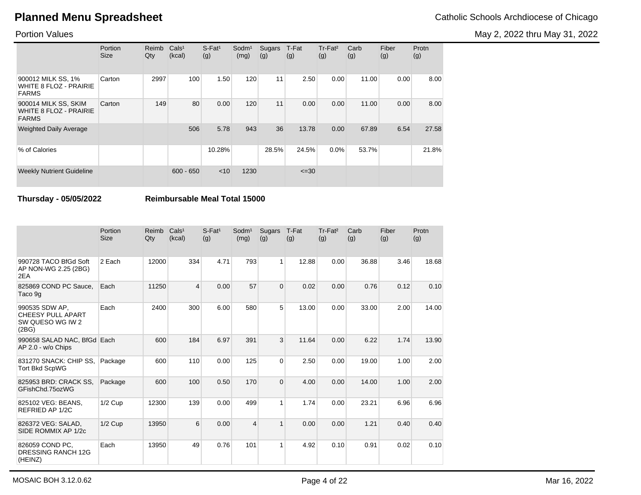May 2, 2022 thru May 31, 2022

### Portion Values

|                                                                       | Portion<br><b>Size</b> | Reimb<br>Qty | Cals <sup>1</sup><br>(kcal) | $S$ -Fat <sup>1</sup><br>(g) | Sodm <sup>1</sup><br>(mg) | Sugars<br>(g) | T-Fat<br>(g) | Tr-Fat <sup>2</sup><br>(g) | Carb<br>(g) | Fiber<br>(g) | Protn<br>(g) |
|-----------------------------------------------------------------------|------------------------|--------------|-----------------------------|------------------------------|---------------------------|---------------|--------------|----------------------------|-------------|--------------|--------------|
| 900012 MILK SS, 1%<br><b>WHITE 8 FLOZ - PRAIRIE</b><br><b>FARMS</b>   | Carton                 | 2997         | 100                         | 1.50                         | 120                       | 11            | 2.50         | 0.00                       | 11.00       | 0.00         | 8.00         |
| 900014 MILK SS, SKIM<br><b>WHITE 8 FLOZ - PRAIRIE</b><br><b>FARMS</b> | Carton                 | 149          | 80                          | 0.00                         | 120                       | 11            | 0.00         | 0.00                       | 11.00       | 0.00         | 8.00         |
| <b>Weighted Daily Average</b>                                         |                        |              | 506                         | 5.78                         | 943                       | 36            | 13.78        | 0.00                       | 67.89       | 6.54         | 27.58        |
| % of Calories                                                         |                        |              |                             | 10.28%                       |                           | 28.5%         | 24.5%        | 0.0%                       | 53.7%       |              | 21.8%        |
| <b>Weekly Nutrient Guideline</b>                                      |                        |              | $600 - 650$                 | < 10                         | 1230                      |               | $\leq 30$    |                            |             |              |              |

**Thursday - 05/05/2022 Reimbursable Meal Total 15000**

|                                                                         | Portion<br><b>Size</b> | Reimb<br>Qty | Cals <sup>1</sup><br>(kcal) | $S$ -Fat <sup>1</sup><br>(g) | Sodm <sup>1</sup><br>(mg) | <b>Sugars</b><br>(g) | T-Fat<br>(g) | Tr-Fat <sup>2</sup><br>(g) | Carb<br>(g) | Fiber<br>(g) | Protn<br>(g) |
|-------------------------------------------------------------------------|------------------------|--------------|-----------------------------|------------------------------|---------------------------|----------------------|--------------|----------------------------|-------------|--------------|--------------|
| 990728 TACO BfGd Soft<br>AP NON-WG 2.25 (2BG)<br>2EA                    | 2 Each                 | 12000        | 334                         | 4.71                         | 793                       | 1 <sup>1</sup>       | 12.88        | 0.00                       | 36.88       | 3.46         | 18.68        |
| 825869 COND PC Sauce,<br>Taco 9g                                        | Each                   | 11250        | $\overline{4}$              | 0.00                         | 57                        | 0                    | 0.02         | 0.00                       | 0.76        | 0.12         | 0.10         |
| 990535 SDW AP,<br><b>CHEESY PULL APART</b><br>SW QUESO WG IW 2<br>(2BG) | Each                   | 2400         | 300                         | 6.00                         | 580                       | 5 <sup>1</sup>       | 13.00        | 0.00                       | 33.00       | 2.00         | 14.00        |
| 990658 SALAD NAC, BfGd Each<br>AP 2.0 - w/o Chips                       |                        | 600          | 184                         | 6.97                         | 391                       | 3                    | 11.64        | 0.00                       | 6.22        | 1.74         | 13.90        |
| 831270 SNACK: CHIP SS.<br><b>Tort Bkd ScpWG</b>                         | Package                | 600          | 110                         | 0.00                         | 125                       | $\overline{0}$       | 2.50         | 0.00                       | 19.00       | 1.00         | 2.00         |
| 825953 BRD: CRACK SS.<br>GFishChd.75ozWG                                | Package                | 600          | 100                         | 0.50                         | 170                       | 0                    | 4.00         | 0.00                       | 14.00       | 1.00         | 2.00         |
| 825102 VEG: BEANS,<br>REFRIED AP 1/2C                                   | $1/2$ Cup              | 12300        | 139                         | 0.00                         | 499                       | 1                    | 1.74         | 0.00                       | 23.21       | 6.96         | 6.96         |
| 826372 VEG: SALAD,<br>SIDE ROMMIX AP 1/2c                               | $1/2$ Cup              | 13950        | 6                           | 0.00                         | $\overline{4}$            | $\mathbf{1}$         | 0.00         | 0.00                       | 1.21        | 0.40         | 0.40         |
| 826059 COND PC,<br>DRESSING RANCH 12G<br>(HEINZ)                        | Each                   | 13950        | 49                          | 0.76                         | 101                       | 1                    | 4.92         | 0.10                       | 0.91        | 0.02         | 0.10         |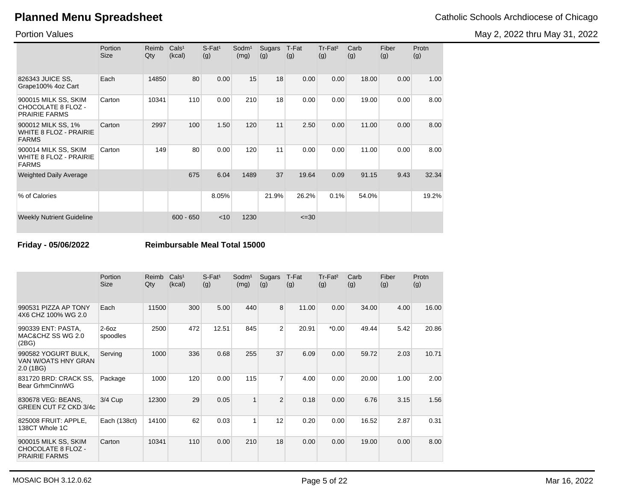May 2, 2022 thru May 31, 2022

Portion Values

|                                                                       | Portion<br><b>Size</b> | Reimb<br>Qty | Cals <sup>1</sup><br>(kcal) | $S$ -Fat <sup>1</sup><br>(g) | Sodm <sup>1</sup><br>(mg) | Sugars<br>(g) | T-Fat<br>(g) | Tr-Fat <sup>2</sup><br>(g) | Carb<br>(g) | Fiber<br>(g) | Protn<br>(g) |
|-----------------------------------------------------------------------|------------------------|--------------|-----------------------------|------------------------------|---------------------------|---------------|--------------|----------------------------|-------------|--------------|--------------|
| 826343 JUICE SS,<br>Grape100% 4oz Cart                                | Each                   | 14850        | 80                          | 0.00                         | 15                        | 18            | 0.00         | 0.00                       | 18.00       | 0.00         | 1.00         |
| 900015 MILK SS, SKIM<br>CHOCOLATE 8 FLOZ -<br><b>PRAIRIE FARMS</b>    | Carton                 | 10341        | 110                         | 0.00                         | 210                       | 18            | 0.00         | 0.00                       | 19.00       | 0.00         | 8.00         |
| 900012 MILK SS, 1%<br><b>WHITE 8 FLOZ - PRAIRIE</b><br><b>FARMS</b>   | Carton                 | 2997         | 100                         | 1.50                         | 120                       | 11            | 2.50         | 0.00                       | 11.00       | 0.00         | 8.00         |
| 900014 MILK SS, SKIM<br><b>WHITE 8 FLOZ - PRAIRIE</b><br><b>FARMS</b> | Carton                 | 149          | 80                          | 0.00                         | 120                       | 11            | 0.00         | 0.00                       | 11.00       | 0.00         | 8.00         |
| <b>Weighted Daily Average</b>                                         |                        |              | 675                         | 6.04                         | 1489                      | 37            | 19.64        | 0.09                       | 91.15       | 9.43         | 32.34        |
| % of Calories                                                         |                        |              |                             | 8.05%                        |                           | 21.9%         | 26.2%        | 0.1%                       | 54.0%       |              | 19.2%        |
| <b>Weekly Nutrient Guideline</b>                                      |                        |              | $600 - 650$                 | < 10                         | 1230                      |               | $\leq 30$    |                            |             |              |              |

**Friday - 05/06/2022 Reimbursable Meal Total 15000**

|                                                                           | Portion<br><b>Size</b> | Reimb<br>Qty | Cals <sup>1</sup><br>(kcal) | $S$ -Fat <sup>1</sup><br>(g) | Sodm <sup>1</sup><br>(mg) | Sugars<br>(g) | T-Fat<br>(g) | Tr-Fat <sup>2</sup><br>(g) | Carb<br>(g) | Fiber<br>(g) | Protn<br>(g) |
|---------------------------------------------------------------------------|------------------------|--------------|-----------------------------|------------------------------|---------------------------|---------------|--------------|----------------------------|-------------|--------------|--------------|
| 990531 PIZZA AP TONY<br>4X6 CHZ 100% WG 2.0                               | Each                   | 11500        | 300                         | 5.00                         | 440                       | 8             | 11.00        | 0.00                       | 34.00       | 4.00         | 16.00        |
| 990339 ENT: PASTA,<br>MAC&CHZ SS WG 2.0<br>(2BG)                          | $2-60z$<br>spoodles    | 2500         | 472                         | 12.51                        | 845                       | 2             | 20.91        | $*0.00$                    | 49.44       | 5.42         | 20.86        |
| 990582 YOGURT BULK,<br>VAN W/OATS HNY GRAN<br>2.0(1B)                     | Serving                | 1000         | 336                         | 0.68                         | 255                       | 37            | 6.09         | 0.00                       | 59.72       | 2.03         | 10.71        |
| 831720 BRD: CRACK SS.<br>Bear GrhmCinnWG                                  | Package                | 1000         | 120                         | 0.00                         | 115                       | 7             | 4.00         | 0.00                       | 20.00       | 1.00         | 2.00         |
| 830678 VEG: BEANS,<br>GREEN CUT FZ CKD 3/4c                               | 3/4 Cup                | 12300        | 29                          | 0.05                         | 1                         | 2             | 0.18         | 0.00                       | 6.76        | 3.15         | 1.56         |
| 825008 FRUIT: APPLE,<br>138CT Whole 1C                                    | Each (138ct)           | 14100        | 62                          | 0.03                         | 1                         | 12            | 0.20         | 0.00                       | 16.52       | 2.87         | 0.31         |
| 900015 MILK SS, SKIM<br><b>CHOCOLATE 8 FLOZ -</b><br><b>PRAIRIE FARMS</b> | Carton                 | 10341        | 110                         | 0.00                         | 210                       | 18            | 0.00         | 0.00                       | 19.00       | 0.00         | 8.00         |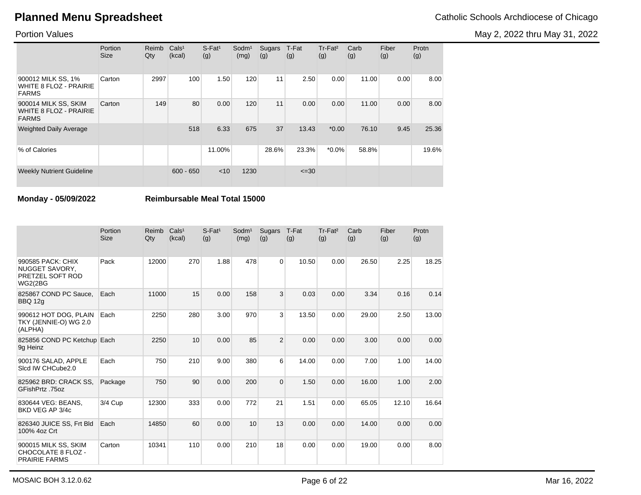May 2, 2022 thru May 31, 2022

### Portion Values

|                                                                       | Portion<br><b>Size</b> | Reimb<br>Qty | Cals <sup>1</sup><br>(kcal) | $S$ -Fat <sup>1</sup><br>(g) | Sodm <sup>1</sup><br>(mg) | Sugars<br>(g) | T-Fat<br>(g) | Tr-Fat <sup>2</sup><br>(g) | Carb<br>(g) | Fiber<br>(g) | Protn<br>(g) |
|-----------------------------------------------------------------------|------------------------|--------------|-----------------------------|------------------------------|---------------------------|---------------|--------------|----------------------------|-------------|--------------|--------------|
| 900012 MILK SS, 1%<br><b>WHITE 8 FLOZ - PRAIRIE</b><br><b>FARMS</b>   | Carton                 | 2997         | 100                         | 1.50                         | 120                       | 11            | 2.50         | 0.00                       | 11.00       | 0.00         | 8.00         |
| 900014 MILK SS, SKIM<br><b>WHITE 8 FLOZ - PRAIRIE</b><br><b>FARMS</b> | Carton                 | 149          | 80                          | 0.00                         | 120                       | 11            | 0.00         | 0.00                       | 11.00       | 0.00         | 8.00         |
| <b>Weighted Daily Average</b>                                         |                        |              | 518                         | 6.33                         | 675                       | 37            | 13.43        | $*0.00$                    | 76.10       | 9.45         | 25.36        |
| % of Calories                                                         |                        |              |                             | 11.00%                       |                           | 28.6%         | 23.3%        | $*0.0\%$                   | 58.8%       |              | 19.6%        |
| <b>Weekly Nutrient Guideline</b>                                      |                        |              | $600 - 650$                 | < 10                         | 1230                      |               | $\leq 30$    |                            |             |              |              |

**Monday - 05/09/2022 Reimbursable Meal Total 15000**

|                                                                    | Portion<br><b>Size</b> | Reimb<br>Qty | Cals <sup>1</sup><br>(kcal) | $S$ -Fat <sup>1</sup><br>(g) | Sodm <sup>1</sup><br>(mg) | Sugars<br>(g)  | T-Fat<br>(g) | Tr-Fat <sup>2</sup><br>(g) | Carb<br>(g) | Fiber<br>(g) | Protn<br>(g) |
|--------------------------------------------------------------------|------------------------|--------------|-----------------------------|------------------------------|---------------------------|----------------|--------------|----------------------------|-------------|--------------|--------------|
| 990585 PACK: CHIX<br>NUGGET SAVORY,<br>PRETZEL SOFT ROD<br>WG2(2BG | Pack                   | 12000        | 270                         | 1.88                         | 478                       | $\Omega$       | 10.50        | 0.00                       | 26.50       | 2.25         | 18.25        |
| 825867 COND PC Sauce,<br><b>BBQ 12g</b>                            | Each                   | 11000        | 15                          | 0.00                         | 158                       | 3              | 0.03         | 0.00                       | 3.34        | 0.16         | 0.14         |
| 990612 HOT DOG, PLAIN<br>TKY (JENNIE-O) WG 2.0<br>(ALPHA)          | Each                   | 2250         | 280                         | 3.00                         | 970                       | 3              | 13.50        | 0.00                       | 29.00       | 2.50         | 13.00        |
| 825856 COND PC Ketchup Each<br>9q Heinz                            |                        | 2250         | 10                          | 0.00                         | 85                        | $\overline{2}$ | 0.00         | 0.00                       | 3.00        | 0.00         | 0.00         |
| 900176 SALAD, APPLE<br>Sicd IW CHCube2.0                           | Each                   | 750          | 210                         | 9.00                         | 380                       | 6              | 14.00        | 0.00                       | 7.00        | 1.00         | 14.00        |
| 825962 BRD: CRACK SS.<br>GFishPrtz .75oz                           | Package                | 750          | 90                          | 0.00                         | 200                       | $\overline{0}$ | 1.50         | 0.00                       | 16.00       | 1.00         | 2.00         |
| 830644 VEG: BEANS.<br>BKD VEG AP 3/4c                              | 3/4 Cup                | 12300        | 333                         | 0.00                         | 772                       | 21             | 1.51         | 0.00                       | 65.05       | 12.10        | 16.64        |
| 826340 JUICE SS, Frt Bld<br>100% 4oz Crt                           | Each                   | 14850        | 60                          | 0.00                         | 10                        | 13             | 0.00         | 0.00                       | 14.00       | 0.00         | 0.00         |
| 900015 MILK SS, SKIM<br>CHOCOLATE 8 FLOZ -<br><b>PRAIRIE FARMS</b> | Carton                 | 10341        | 110                         | 0.00                         | 210                       | 18             | 0.00         | 0.00                       | 19.00       | 0.00         | 8.00         |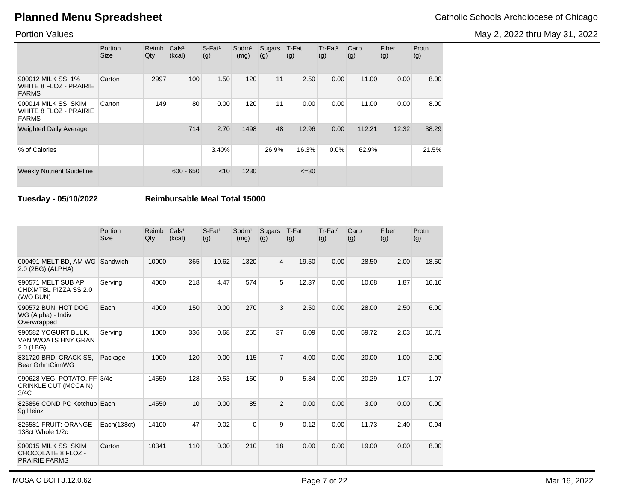May 2, 2022 thru May 31, 2022

### Portion Values

|                                                                       | Portion<br><b>Size</b> | Reimb<br>Qty | Cals <sup>1</sup><br>(kcal) | $S$ -Fat <sup>1</sup><br>(g) | Sodm <sup>1</sup><br>(mg) | Sugars<br>(g) | T-Fat<br>(g) | Tr-Fat <sup>2</sup><br>(g) | Carb<br>(g) | Fiber<br>(g) | Protn<br>(g) |
|-----------------------------------------------------------------------|------------------------|--------------|-----------------------------|------------------------------|---------------------------|---------------|--------------|----------------------------|-------------|--------------|--------------|
| 900012 MILK SS, 1%<br><b>WHITE 8 FLOZ - PRAIRIE</b><br><b>FARMS</b>   | Carton                 | 2997         | 100                         | 1.50                         | 120                       | 11            | 2.50         | 0.00                       | 11.00       | 0.00         | 8.00         |
| 900014 MILK SS, SKIM<br><b>WHITE 8 FLOZ - PRAIRIE</b><br><b>FARMS</b> | Carton                 | 149          | 80                          | 0.00                         | 120                       | 11            | 0.00         | 0.00                       | 11.00       | 0.00         | 8.00         |
| <b>Weighted Daily Average</b>                                         |                        |              | 714                         | 2.70                         | 1498                      | 48            | 12.96        | 0.00                       | 112.21      | 12.32        | 38.29        |
| % of Calories                                                         |                        |              |                             | 3.40%                        |                           | 26.9%         | 16.3%        | 0.0%                       | 62.9%       |              | 21.5%        |
| <b>Weekly Nutrient Guideline</b>                                      |                        |              | $600 - 650$                 | $<$ 10                       | 1230                      |               | $\leq 30$    |                            |             |              |              |

**Tuesday - 05/10/2022 Reimbursable Meal Total 15000**

|                                                                    | Portion<br><b>Size</b> | Reimb<br>Qty | Cals <sup>1</sup><br>(kcal) | $S$ -Fat <sup>1</sup><br>(g) | Sodm <sup>1</sup><br>(mg) | <b>Sugars</b><br>(g) | T-Fat<br>(g) | Tr-Fat <sup>2</sup><br>(g) | Carb<br>(g) | Fiber<br>(g) | Protn<br>(g) |
|--------------------------------------------------------------------|------------------------|--------------|-----------------------------|------------------------------|---------------------------|----------------------|--------------|----------------------------|-------------|--------------|--------------|
| 000491 MELT BD, AM WG<br>2.0 (2BG) (ALPHA)                         | Sandwich               | 10000        | 365                         | 10.62                        | 1320                      | 4                    | 19.50        | 0.00                       | 28.50       | 2.00         | 18.50        |
| 990571 MELT SUB AP,<br>CHIXMTBL PIZZA SS 2.0<br>(W/O BUN)          | Serving                | 4000         | 218                         | 4.47                         | 574                       | 5                    | 12.37        | 0.00                       | 10.68       | 1.87         | 16.16        |
| 990572 BUN, HOT DOG<br>WG (Alpha) - Indiv<br>Overwrapped           | Each                   | 4000         | 150                         | 0.00                         | 270                       | 3                    | 2.50         | 0.00                       | 28.00       | 2.50         | 6.00         |
| 990582 YOGURT BULK.<br>VAN W/OATS HNY GRAN<br>2.0(1B)              | Serving                | 1000         | 336                         | 0.68                         | 255                       | 37                   | 6.09         | 0.00                       | 59.72       | 2.03         | 10.71        |
| 831720 BRD: CRACK SS.<br>Bear GrhmCinnWG                           | Package                | 1000         | 120                         | 0.00                         | 115                       | $\overline{7}$       | 4.00         | 0.00                       | 20.00       | 1.00         | 2.00         |
| 990628 VEG: POTATO, FF 3/4c<br>CRINKLE CUT (MCCAIN)<br>3/4C        |                        | 14550        | 128                         | 0.53                         | 160                       | $\overline{0}$       | 5.34         | 0.00                       | 20.29       | 1.07         | 1.07         |
| 825856 COND PC Ketchup Each<br>9g Heinz                            |                        | 14550        | 10                          | 0.00                         | 85                        | $\overline{2}$       | 0.00         | 0.00                       | 3.00        | 0.00         | 0.00         |
| 826581 FRUIT: ORANGE<br>138ct Whole 1/2c                           | Each(138ct)            | 14100        | 47                          | 0.02                         | $\Omega$                  | 9                    | 0.12         | 0.00                       | 11.73       | 2.40         | 0.94         |
| 900015 MILK SS, SKIM<br>CHOCOLATE 8 FLOZ -<br><b>PRAIRIE FARMS</b> | Carton                 | 10341        | 110                         | 0.00                         | 210                       | 18                   | 0.00         | 0.00                       | 19.00       | 0.00         | 8.00         |

MOSAIC BOH 3.12.0.62 Mar 16, 2022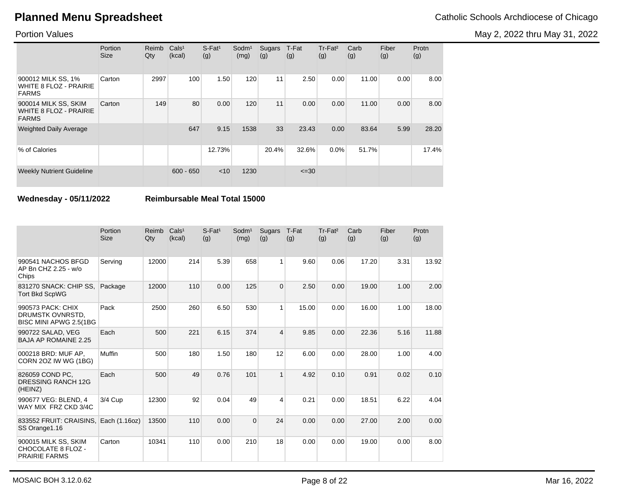May 2, 2022 thru May 31, 2022

### Portion Values

|                                                                       | Portion<br><b>Size</b> | Reimb<br>Qty | Cals <sup>1</sup><br>(kcal) | $S$ -Fat <sup>1</sup><br>(g) | Sodm <sup>1</sup><br>(mg) | Sugars<br>(g) | T-Fat<br>(g) | Tr-Fat <sup>2</sup><br>(g) | Carb<br>(g) | Fiber<br>(g) | Protn<br>(g) |
|-----------------------------------------------------------------------|------------------------|--------------|-----------------------------|------------------------------|---------------------------|---------------|--------------|----------------------------|-------------|--------------|--------------|
| 900012 MILK SS, 1%<br><b>WHITE 8 FLOZ - PRAIRIE</b><br><b>FARMS</b>   | Carton                 | 2997         | 100                         | 1.50                         | 120                       | 11            | 2.50         | 0.00                       | 11.00       | 0.00         | 8.00         |
| 900014 MILK SS, SKIM<br><b>WHITE 8 FLOZ - PRAIRIE</b><br><b>FARMS</b> | Carton                 | 149          | 80                          | 0.00                         | 120                       | 11            | 0.00         | 0.00                       | 11.00       | 0.00         | 8.00         |
| <b>Weighted Daily Average</b>                                         |                        |              | 647                         | 9.15                         | 1538                      | 33            | 23.43        | 0.00                       | 83.64       | 5.99         | 28.20        |
| % of Calories                                                         |                        |              |                             | 12.73%                       |                           | 20.4%         | 32.6%        | 0.0%                       | 51.7%       |              | 17.4%        |
| <b>Weekly Nutrient Guideline</b>                                      |                        |              | $600 - 650$                 | $<$ 10                       | 1230                      |               | $\leq 30$    |                            |             |              |              |

**Wednesday - 05/11/2022 Reimbursable Meal Total 15000**

|                                                                    | Portion<br><b>Size</b> | Reimb<br>Qty | Cals <sup>1</sup><br>(kcal) | $S-Fat1$<br>(g) | Sodm <sup>1</sup><br>(mg) | Sugars<br>(g)  | T-Fat<br>(g) | Tr-Fat <sup>2</sup><br>(g) | Carb<br>(g) | Fiber<br>(g) | Protn<br>(g) |
|--------------------------------------------------------------------|------------------------|--------------|-----------------------------|-----------------|---------------------------|----------------|--------------|----------------------------|-------------|--------------|--------------|
| 990541 NACHOS BFGD<br>AP Bn CHZ 2.25 - w/o<br>Chips                | Serving                | 12000        | 214                         | 5.39            | 658                       | 1              | 9.60         | 0.06                       | 17.20       | 3.31         | 13.92        |
| 831270 SNACK: CHIP SS,<br><b>Tort Bkd ScpWG</b>                    | Package                | 12000        | 110                         | 0.00            | 125                       | $\overline{0}$ | 2.50         | 0.00                       | 19.00       | 1.00         | 2.00         |
| 990573 PACK: CHIX<br>DRUMSTK OVNRSTD,<br>BISC MINI APWG 2.5(1BG    | Pack                   | 2500         | 260                         | 6.50            | 530                       | 1              | 15.00        | 0.00                       | 16.00       | 1.00         | 18.00        |
| 990722 SALAD, VEG<br><b>BAJA AP ROMAINE 2.25</b>                   | Each                   | 500          | 221                         | 6.15            | 374                       | 4              | 9.85         | 0.00                       | 22.36       | 5.16         | 11.88        |
| 000218 BRD: MUF AP.<br>CORN 20Z IW WG (1BG)                        | Muffin                 | 500          | 180                         | 1.50            | 180                       | 12             | 6.00         | 0.00                       | 28.00       | 1.00         | 4.00         |
| 826059 COND PC.<br><b>DRESSING RANCH 12G</b><br>(HEINZ)            | Each                   | 500          | 49                          | 0.76            | 101                       | 1              | 4.92         | 0.10                       | 0.91        | 0.02         | 0.10         |
| 990677 VEG: BLEND, 4<br>WAY MIX FRZ CKD 3/4C                       | 3/4 Cup                | 12300        | 92                          | 0.04            | 49                        | 4              | 0.21         | 0.00                       | 18.51       | 6.22         | 4.04         |
| 833552 FRUIT: CRAISINS,<br>SS Orange 1.16                          | Each (1.16oz)          | 13500        | 110                         | 0.00            | $\mathbf 0$               | 24             | 0.00         | 0.00                       | 27.00       | 2.00         | 0.00         |
| 900015 MILK SS, SKIM<br>CHOCOLATE 8 FLOZ -<br><b>PRAIRIE FARMS</b> | Carton                 | 10341        | 110                         | 0.00            | 210                       | 18             | 0.00         | 0.00                       | 19.00       | 0.00         | 8.00         |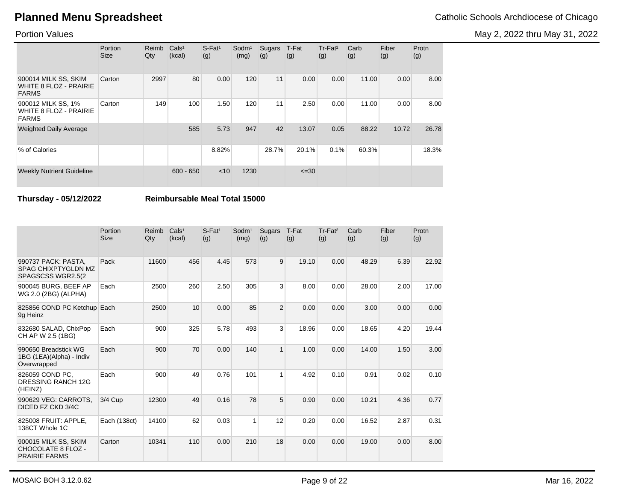May 2, 2022 thru May 31, 2022

### Portion Values

|                                                                       | Portion<br><b>Size</b> | Reimb<br>Qty | Cals <sup>1</sup><br>(kcal) | $S$ -Fat <sup>1</sup><br>(g) | Sodm <sup>1</sup><br>(mg) | Sugars<br>(g) | T-Fat<br>(g) | Tr-Fat <sup>2</sup><br>(g) | Carb<br>(g) | Fiber<br>(g) | Protn<br>(g) |
|-----------------------------------------------------------------------|------------------------|--------------|-----------------------------|------------------------------|---------------------------|---------------|--------------|----------------------------|-------------|--------------|--------------|
| 900014 MILK SS, SKIM<br><b>WHITE 8 FLOZ - PRAIRIE</b><br><b>FARMS</b> | Carton                 | 2997         | 80                          | 0.00                         | 120                       | 11            | 0.00         | 0.00                       | 11.00       | 0.00         | 8.00         |
| 900012 MILK SS, 1%<br><b>WHITE 8 FLOZ - PRAIRIE</b><br><b>FARMS</b>   | Carton                 | 149          | 100                         | 1.50                         | 120                       | 11            | 2.50         | 0.00                       | 11.00       | 0.00         | 8.00         |
| <b>Weighted Daily Average</b>                                         |                        |              | 585                         | 5.73                         | 947                       | 42            | 13.07        | 0.05                       | 88.22       | 10.72        | 26.78        |
| % of Calories                                                         |                        |              |                             | 8.82%                        |                           | 28.7%         | 20.1%        | 0.1%                       | 60.3%       |              | 18.3%        |
| <b>Weekly Nutrient Guideline</b>                                      |                        |              | $600 - 650$                 | < 10                         | 1230                      |               | $\leq 30$    |                            |             |              |              |

**Thursday - 05/12/2022 Reimbursable Meal Total 15000**

|                                                                         | Portion<br><b>Size</b> | Reimb<br>Qty | Cals <sup>1</sup><br>(kcal) | $S$ -Fat <sup>1</sup><br>(g) | Sodm <sup>1</sup><br>(mg) | Sugars<br>(g)  | T-Fat<br>(g) | Tr-Fat <sup>2</sup><br>(g) | Carb<br>(g) | Fiber<br>(g) | Protn<br>(g) |
|-------------------------------------------------------------------------|------------------------|--------------|-----------------------------|------------------------------|---------------------------|----------------|--------------|----------------------------|-------------|--------------|--------------|
| 990737 PACK: PASTA.<br><b>SPAG CHIXPTYGLDN MZ</b><br>SPAGSCSS WGR2.5(2) | Pack                   | 11600        | 456                         | 4.45                         | 573                       | 9              | 19.10        | 0.00                       | 48.29       | 6.39         | 22.92        |
| 900045 BURG, BEEF AP<br>WG 2.0 (2BG) (ALPHA)                            | Each                   | 2500         | 260                         | 2.50                         | 305                       | 3              | 8.00         | 0.00                       | 28.00       | 2.00         | 17.00        |
| 825856 COND PC Ketchup Each<br>9g Heinz                                 |                        | 2500         | 10                          | 0.00                         | 85                        | $\overline{2}$ | 0.00         | 0.00                       | 3.00        | 0.00         | 0.00         |
| 832680 SALAD, ChixPop<br>CH AP W 2.5 (1BG)                              | Each                   | 900          | 325                         | 5.78                         | 493                       | 3              | 18.96        | 0.00                       | 18.65       | 4.20         | 19.44        |
| 990650 Breadstick WG<br>1BG (1EA)(Alpha) - Indiv<br>Overwrapped         | Each                   | 900          | 70                          | 0.00                         | 140                       | $\mathbf{1}$   | 1.00         | 0.00                       | 14.00       | 1.50         | 3.00         |
| 826059 COND PC.<br><b>DRESSING RANCH 12G</b><br>(HEINZ)                 | Each                   | 900          | 49                          | 0.76                         | 101                       | 1              | 4.92         | 0.10                       | 0.91        | 0.02         | 0.10         |
| 990629 VEG: CARROTS.<br>DICED FZ CKD 3/4C                               | 3/4 Cup                | 12300        | 49                          | 0.16                         | 78                        | 5              | 0.90         | 0.00                       | 10.21       | 4.36         | 0.77         |
| 825008 FRUIT: APPLE,<br>138CT Whole 1C                                  | Each (138ct)           | 14100        | 62                          | 0.03                         | 1                         | 12             | 0.20         | 0.00                       | 16.52       | 2.87         | 0.31         |
| 900015 MILK SS, SKIM<br>CHOCOLATE 8 FLOZ -<br><b>PRAIRIE FARMS</b>      | Carton                 | 10341        | 110                         | 0.00                         | 210                       | 18             | 0.00         | 0.00                       | 19.00       | 0.00         | 8.00         |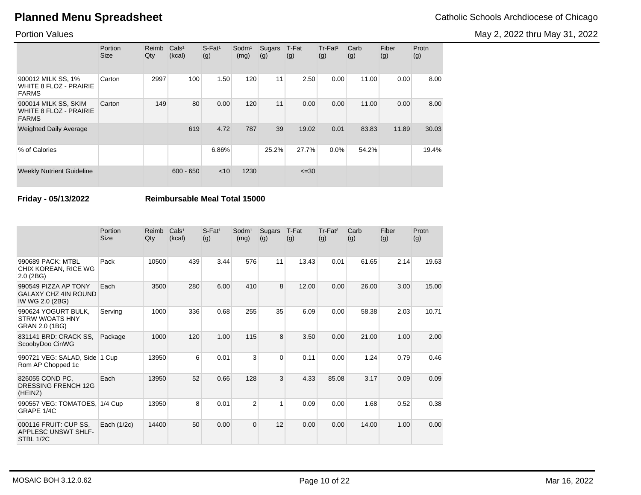May 2, 2022 thru May 31, 2022

### Portion Values

|                                                                       | Portion<br><b>Size</b> | Reimb<br>Qty | Cals <sup>1</sup><br>(kcal) | $S$ -Fat <sup>1</sup><br>(g) | Sodm <sup>1</sup><br>(mg) | Sugars<br>(g) | T-Fat<br>(g) | Tr-Fat <sup>2</sup><br>(g) | Carb<br>(g) | Fiber<br>(g) | Protn<br>(g) |
|-----------------------------------------------------------------------|------------------------|--------------|-----------------------------|------------------------------|---------------------------|---------------|--------------|----------------------------|-------------|--------------|--------------|
| 900012 MILK SS, 1%<br><b>WHITE 8 FLOZ - PRAIRIE</b><br><b>FARMS</b>   | Carton                 | 2997         | 100                         | 1.50                         | 120                       | 11            | 2.50         | 0.00                       | 11.00       | 0.00         | 8.00         |
| 900014 MILK SS, SKIM<br><b>WHITE 8 FLOZ - PRAIRIE</b><br><b>FARMS</b> | Carton                 | 149          | 80                          | 0.00                         | 120                       | 11            | 0.00         | 0.00                       | 11.00       | 0.00         | 8.00         |
| <b>Weighted Daily Average</b>                                         |                        |              | 619                         | 4.72                         | 787                       | 39            | 19.02        | 0.01                       | 83.83       | 11.89        | 30.03        |
| % of Calories                                                         |                        |              |                             | 6.86%                        |                           | 25.2%         | 27.7%        | 0.0%                       | 54.2%       |              | 19.4%        |
| <b>Weekly Nutrient Guideline</b>                                      |                        |              | $600 - 650$                 | < 10                         | 1230                      |               | $\leq 30$    |                            |             |              |              |

**Friday - 05/13/2022 Reimbursable Meal Total 15000**

|                                                                        | Portion<br><b>Size</b> | Reimb<br>Qty | Cals <sup>1</sup><br>(kcal) | S-Fat <sup>1</sup><br>(g) | Sodm <sup>1</sup><br>(mg) | Sugars<br>(g) | T-Fat<br>(g) | Tr-Fat <sup>2</sup><br>(g) | Carb<br>(g) | Fiber<br>(g) | Protn<br>(g) |
|------------------------------------------------------------------------|------------------------|--------------|-----------------------------|---------------------------|---------------------------|---------------|--------------|----------------------------|-------------|--------------|--------------|
| 990689 PACK: MTBL<br>CHIX KOREAN, RICE WG<br>2.0(2BG)                  | Pack                   | 10500        | 439                         | 3.44                      | 576                       | 11            | 13.43        | 0.01                       | 61.65       | 2.14         | 19.63        |
| 990549 PIZZA AP TONY<br><b>GALAXY CHZ 4IN ROUND</b><br>IW WG 2.0 (2BG) | Each                   | 3500         | 280                         | 6.00                      | 410                       | 8             | 12.00        | 0.00                       | 26.00       | 3.00         | 15.00        |
| 990624 YOGURT BULK,<br><b>STRW W/OATS HNY</b><br>GRAN 2.0 (1BG)        | Serving                | 1000         | 336                         | 0.68                      | 255                       | 35            | 6.09         | 0.00                       | 58.38       | 2.03         | 10.71        |
| 831141 BRD: CRACK SS,<br>ScoobyDoo CinWG                               | Package                | 1000         | 120                         | 1.00                      | 115                       | 8             | 3.50         | 0.00                       | 21.00       | 1.00         | 2.00         |
| 990721 VEG: SALAD, Side 1 Cup<br>Rom AP Chopped 1c                     |                        | 13950        | 6                           | 0.01                      | 3                         | $\Omega$      | 0.11         | 0.00                       | 1.24        | 0.79         | 0.46         |
| 826055 COND PC,<br>DRESSING FRENCH 12G<br>(HEINZ)                      | Each                   | 13950        | 52                          | 0.66                      | 128                       | 3             | 4.33         | 85.08                      | 3.17        | 0.09         | 0.09         |
| 990557 VEG: TOMATOES,<br>GRAPE 1/4C                                    | 1/4 Cup                | 13950        | 8                           | 0.01                      | $\overline{2}$            | 1             | 0.09         | 0.00                       | 1.68        | 0.52         | 0.38         |
| 000116 FRUIT: CUP SS,<br><b>APPLESC UNSWT SHLF-</b><br>STBL 1/2C       | Each (1/2c)            | 14400        | 50                          | 0.00                      | $\Omega$                  | 12            | 0.00         | 0.00                       | 14.00       | 1.00         | 0.00         |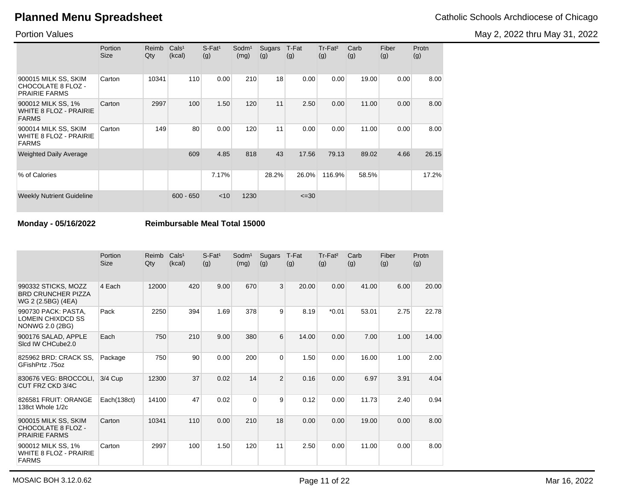May 2, 2022 thru May 31, 2022

Portion Values

|                                                                       | Portion<br><b>Size</b> | Reimb<br>Qty | Cals <sup>1</sup><br>(kcal) | $S$ -Fat <sup>1</sup><br>(g) | Sodm <sup>1</sup><br>(mg) | Sugars<br>(g) | T-Fat<br>(g) | Tr-Fat <sup>2</sup><br>(g) | Carb<br>(g) | Fiber<br>(g) | Protn<br>(g) |
|-----------------------------------------------------------------------|------------------------|--------------|-----------------------------|------------------------------|---------------------------|---------------|--------------|----------------------------|-------------|--------------|--------------|
| 900015 MILK SS, SKIM<br>CHOCOLATE 8 FLOZ -<br><b>PRAIRIE FARMS</b>    | Carton                 | 10341        | 110                         | 0.00                         | 210                       | 18            | 0.00         | 0.00                       | 19.00       | 0.00         | 8.00         |
| 900012 MILK SS, 1%<br><b>WHITE 8 FLOZ - PRAIRIE</b><br><b>FARMS</b>   | Carton                 | 2997         | 100                         | 1.50                         | 120                       | 11            | 2.50         | 0.00                       | 11.00       | 0.00         | 8.00         |
| 900014 MILK SS, SKIM<br><b>WHITE 8 FLOZ - PRAIRIE</b><br><b>FARMS</b> | Carton                 | 149          | 80                          | 0.00                         | 120                       | 11            | 0.00         | 0.00                       | 11.00       | 0.00         | 8.00         |
| <b>Weighted Daily Average</b>                                         |                        |              | 609                         | 4.85                         | 818                       | 43            | 17.56        | 79.13                      | 89.02       | 4.66         | 26.15        |
| % of Calories                                                         |                        |              |                             | 7.17%                        |                           | 28.2%         | 26.0%        | 116.9%                     | 58.5%       |              | 17.2%        |
| <b>Weekly Nutrient Guideline</b>                                      |                        |              | $600 - 650$                 | $<$ 10                       | 1230                      |               | $\leq 30$    |                            |             |              |              |

**Monday - 05/16/2022 Reimbursable Meal Total 15000**

|                                                                        | Portion<br><b>Size</b> | Reimb<br>Qty | Cals <sup>1</sup><br>(kcal) | S-Fat <sup>1</sup><br>(g) | Sodm <sup>1</sup><br>(mg) | <b>Sugars</b><br>(g) | T-Fat<br>(g) | Tr-Fat <sup>2</sup><br>(g) | Carb<br>(g) | Fiber<br>(g) | Protn<br>(g) |
|------------------------------------------------------------------------|------------------------|--------------|-----------------------------|---------------------------|---------------------------|----------------------|--------------|----------------------------|-------------|--------------|--------------|
| 990332 STICKS, MOZZ<br><b>BRD CRUNCHER PIZZA</b><br>WG 2 (2.5BG) (4EA) | 4 Each                 | 12000        | 420                         | 9.00                      | 670                       | 3                    | 20.00        | 0.00                       | 41.00       | 6.00         | 20.00        |
| 990730 PACK: PASTA,<br>LOMEIN CHIXDCD SS<br>NONWG 2.0 (2BG)            | Pack                   | 2250         | 394                         | 1.69                      | 378                       | 9                    | 8.19         | $*0.01$                    | 53.01       | 2.75         | 22.78        |
| 900176 SALAD, APPLE<br>Sicd IW CHCube2.0                               | Each                   | 750          | 210                         | 9.00                      | 380                       | 6                    | 14.00        | 0.00                       | 7.00        | 1.00         | 14.00        |
| 825962 BRD: CRACK SS,<br>GFishPrtz .75oz                               | Package                | 750          | 90                          | 0.00                      | 200                       | $\mathbf 0$          | 1.50         | 0.00                       | 16.00       | 1.00         | 2.00         |
| 830676 VEG: BROCCOLI,<br>CUT FRZ CKD 3/4C                              | 3/4 Cup                | 12300        | 37                          | 0.02                      | 14                        | $\overline{2}$       | 0.16         | 0.00                       | 6.97        | 3.91         | 4.04         |
| 826581 FRUIT: ORANGE<br>138ct Whole 1/2c                               | Each(138ct)            | 14100        | 47                          | 0.02                      | 0                         | 9                    | 0.12         | 0.00                       | 11.73       | 2.40         | 0.94         |
| 900015 MILK SS, SKIM<br>CHOCOLATE 8 FLOZ -<br><b>PRAIRIE FARMS</b>     | Carton                 | 10341        | 110                         | 0.00                      | 210                       | 18                   | 0.00         | 0.00                       | 19.00       | 0.00         | 8.00         |
| 900012 MILK SS, 1%<br><b>WHITE 8 FLOZ - PRAIRIE</b><br><b>FARMS</b>    | Carton                 | 2997         | 100                         | 1.50                      | 120                       | 11                   | 2.50         | 0.00                       | 11.00       | 0.00         | 8.00         |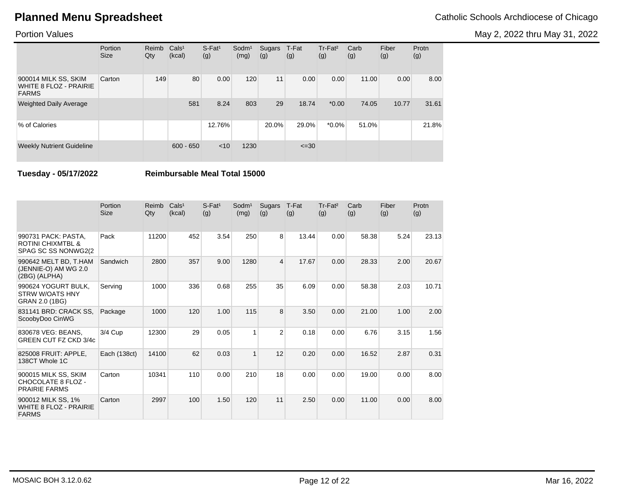May 2, 2022 thru May 31, 2022

### Portion Values

|                                                                | Portion<br><b>Size</b> | Reimb<br>Qty | Cals <sup>1</sup><br>(kcal) | $S$ -Fat <sup>1</sup><br>(g) | $S$ odm $1$<br>(mg) | Sugars<br>(g) | T-Fat<br>(g) | Tr-Fat <sup>2</sup><br>(g) | Carb<br>(g) | Fiber<br>(g) | Protn<br>(g) |
|----------------------------------------------------------------|------------------------|--------------|-----------------------------|------------------------------|---------------------|---------------|--------------|----------------------------|-------------|--------------|--------------|
| 900014 MILK SS, SKIM<br>WHITE 8 FLOZ - PRAIRIE<br><b>FARMS</b> | Carton                 | 149          | 80                          | 0.00                         | 120                 | 11            | 0.00         | 0.00                       | 11.00       | 0.00         | 8.00         |
| <b>Weighted Daily Average</b>                                  |                        |              | 581                         | 8.24                         | 803                 | 29            | 18.74        | $*0.00$                    | 74.05       | 10.77        | 31.61        |
| % of Calories                                                  |                        |              |                             | 12.76%                       |                     | 20.0%         | 29.0%        | $*0.0\%$                   | 51.0%       |              | 21.8%        |
| <b>Weekly Nutrient Guideline</b>                               |                        |              | $600 - 650$                 | < 10                         | 1230                |               | $\leq 30$    |                            |             |              |              |

**Tuesday - 05/17/2022 Reimbursable Meal Total 15000**

|                                                                             | Portion<br>Size | Reimb<br>Qty | Cals <sup>1</sup><br>(kcal) | S-Fat <sup>1</sup><br>(g) | Sodm <sup>1</sup><br>(mg) | Sugars<br>(g)  | T-Fat<br>(g) | Tr-Fat <sup>2</sup><br>(g) | Carb<br>(g) | Fiber<br>(g) | Protn<br>(g) |
|-----------------------------------------------------------------------------|-----------------|--------------|-----------------------------|---------------------------|---------------------------|----------------|--------------|----------------------------|-------------|--------------|--------------|
| 990731 PACK: PASTA,<br><b>ROTINI CHIXMTBL &amp;</b><br>SPAG SC SS NONWG2(2) | Pack            | 11200        | 452                         | 3.54                      | 250                       | 8              | 13.44        | 0.00                       | 58.38       | 5.24         | 23.13        |
| 990642 MELT BD, T.HAM<br>(JENNIE-O) AM WG 2.0<br>(2BG) (ALPHA)              | Sandwich        | 2800         | 357                         | 9.00                      | 1280                      | 4              | 17.67        | 0.00                       | 28.33       | 2.00         | 20.67        |
| 990624 YOGURT BULK,<br><b>STRW W/OATS HNY</b><br>GRAN 2.0 (1BG)             | Serving         | 1000         | 336                         | 0.68                      | 255                       | 35             | 6.09         | 0.00                       | 58.38       | 2.03         | 10.71        |
| 831141 BRD: CRACK SS.<br>ScoobyDoo CinWG                                    | Package         | 1000         | 120                         | 1.00                      | 115                       | 8              | 3.50         | 0.00                       | 21.00       | 1.00         | 2.00         |
| 830678 VEG: BEANS.<br><b>GREEN CUT FZ CKD 3/4c</b>                          | 3/4 Cup         | 12300        | 29                          | 0.05                      | 1                         | $\overline{2}$ | 0.18         | 0.00                       | 6.76        | 3.15         | 1.56         |
| 825008 FRUIT: APPLE,<br>138CT Whole 1C                                      | Each (138ct)    | 14100        | 62                          | 0.03                      | $\mathbf{1}$              | 12             | 0.20         | 0.00                       | 16.52       | 2.87         | 0.31         |
| 900015 MILK SS, SKIM<br>CHOCOLATE 8 FLOZ -<br><b>PRAIRIE FARMS</b>          | Carton          | 10341        | 110                         | 0.00                      | 210                       | 18             | 0.00         | 0.00                       | 19.00       | 0.00         | 8.00         |
| 900012 MILK SS, 1%<br><b>WHITE 8 FLOZ - PRAIRIE</b><br><b>FARMS</b>         | Carton          | 2997         | 100                         | 1.50                      | 120                       | 11             | 2.50         | 0.00                       | 11.00       | 0.00         | 8.00         |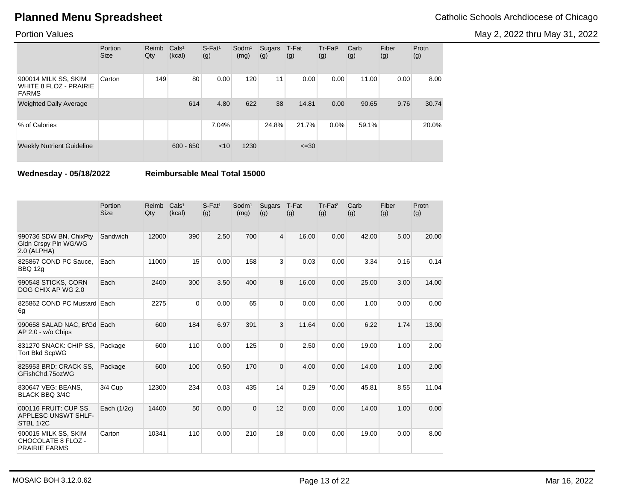May 2, 2022 thru May 31, 2022

### Portion Values

|                                                                       | Portion<br><b>Size</b> | Reimb<br>Qty | Cals <sup>1</sup><br>(kcal) | $S$ -Fat <sup>1</sup><br>(g) | Sodm <sup>1</sup><br>(mg) | Sugars<br>(g) | T-Fat<br>(g) | Tr-Fat <sup>2</sup><br>(g) | Carb<br>(g) | Fiber<br>(g) | Protn<br>(g) |
|-----------------------------------------------------------------------|------------------------|--------------|-----------------------------|------------------------------|---------------------------|---------------|--------------|----------------------------|-------------|--------------|--------------|
| 900014 MILK SS, SKIM<br><b>WHITE 8 FLOZ - PRAIRIE</b><br><b>FARMS</b> | Carton                 | 149          | 80                          | 0.00                         | 120                       | 11            | 0.00         | 0.00                       | 11.00       | 0.00         | 8.00         |
| <b>Weighted Daily Average</b>                                         |                        |              | 614                         | 4.80                         | 622                       | 38            | 14.81        | 0.00                       | 90.65       | 9.76         | 30.74        |
| % of Calories                                                         |                        |              |                             | 7.04%                        |                           | 24.8%         | 21.7%        | $0.0\%$                    | 59.1%       |              | 20.0%        |
| <b>Weekly Nutrient Guideline</b>                                      |                        |              | $600 - 650$                 | $<$ 10                       | 1230                      |               | $\leq 30$    |                            |             |              |              |

**Wednesday - 05/18/2022 Reimbursable Meal Total 15000**

|                                                                    | Portion<br><b>Size</b> | Reimb<br>Qty | Cals <sup>1</sup><br>(kcal) | $S-Fat1$<br>(g) | Sodm <sup>1</sup><br>(mg) | Sugars<br>(g)  | T-Fat<br>(g) | Tr-Fat <sup>2</sup><br>(g) | Carb<br>(g) | Fiber<br>(g) | Protn<br>(g) |
|--------------------------------------------------------------------|------------------------|--------------|-----------------------------|-----------------|---------------------------|----------------|--------------|----------------------------|-------------|--------------|--------------|
| 990736 SDW BN, ChixPty<br>Gldn Crspy Pln WG/WG<br>$2.0$ (ALPHA)    | Sandwich               | 12000        | 390                         | 2.50            | 700                       | $\overline{4}$ | 16.00        | 0.00                       | 42.00       | 5.00         | 20.00        |
| 825867 COND PC Sauce.<br>BBQ 12g                                   | Each                   | 11000        | 15                          | 0.00            | 158                       | 3              | 0.03         | 0.00                       | 3.34        | 0.16         | 0.14         |
| 990548 STICKS, CORN<br>DOG CHIX AP WG 2.0                          | Each                   | 2400         | 300                         | 3.50            | 400                       | 8              | 16.00        | 0.00                       | 25.00       | 3.00         | 14.00        |
| 825862 COND PC Mustard Each<br>6g                                  |                        | 2275         | $\Omega$                    | 0.00            | 65                        | 0              | 0.00         | 0.00                       | 1.00        | 0.00         | 0.00         |
| 990658 SALAD NAC, BfGd Each<br>AP 2.0 - w/o Chips                  |                        | 600          | 184                         | 6.97            | 391                       | 3              | 11.64        | 0.00                       | 6.22        | 1.74         | 13.90        |
| 831270 SNACK: CHIP SS.<br><b>Tort Bkd ScpWG</b>                    | Package                | 600          | 110                         | 0.00            | 125                       | $\Omega$       | 2.50         | 0.00                       | 19.00       | 1.00         | 2.00         |
| 825953 BRD: CRACK SS.<br>GFishChd.75ozWG                           | Package                | 600          | 100                         | 0.50            | 170                       | $\overline{0}$ | 4.00         | 0.00                       | 14.00       | 1.00         | 2.00         |
| 830647 VEG: BEANS,<br><b>BLACK BBQ 3/4C</b>                        | 3/4 Cup                | 12300        | 234                         | 0.03            | 435                       | 14             | 0.29         | $*0.00$                    | 45.81       | 8.55         | 11.04        |
| 000116 FRUIT: CUP SS,<br>APPLESC UNSWT SHLF-<br>STBL 1/2C          | Each (1/2c)            | 14400        | 50                          | 0.00            | $\Omega$                  | 12             | 0.00         | 0.00                       | 14.00       | 1.00         | 0.00         |
| 900015 MILK SS, SKIM<br>CHOCOLATE 8 FLOZ -<br><b>PRAIRIE FARMS</b> | Carton                 | 10341        | 110                         | 0.00            | 210                       | 18             | 0.00         | 0.00                       | 19.00       | 0.00         | 8.00         |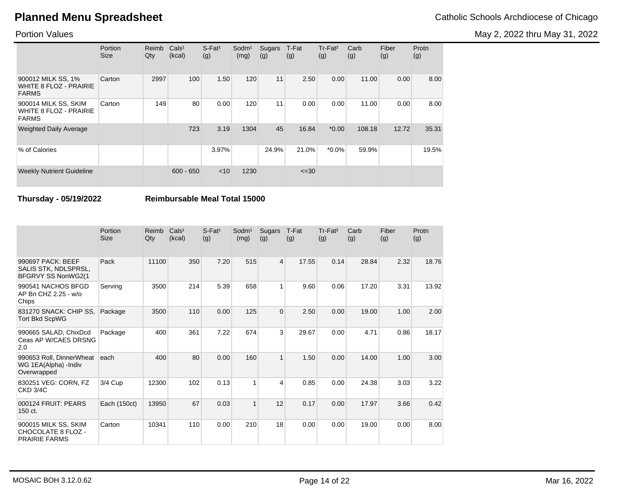May 2, 2022 thru May 31, 2022

### Portion Values

|                                                                       | Portion<br><b>Size</b> | Reimb<br>Qty | Cals <sup>1</sup><br>(kcal) | $S$ -Fat <sup>1</sup><br>(g) | Sodm <sup>1</sup><br>(mg) | Sugars<br>(g) | T-Fat<br>(g) | Tr-Fat <sup>2</sup><br>(g) | Carb<br>(g) | Fiber<br>(g) | Protn<br>(g) |
|-----------------------------------------------------------------------|------------------------|--------------|-----------------------------|------------------------------|---------------------------|---------------|--------------|----------------------------|-------------|--------------|--------------|
| 900012 MILK SS, 1%<br><b>WHITE 8 FLOZ - PRAIRIE</b><br><b>FARMS</b>   | Carton                 | 2997         | 100                         | 1.50                         | 120                       | 11            | 2.50         | 0.00                       | 11.00       | 0.00         | 8.00         |
| 900014 MILK SS, SKIM<br><b>WHITE 8 FLOZ - PRAIRIE</b><br><b>FARMS</b> | Carton                 | 149          | 80                          | 0.00                         | 120                       | 11            | 0.00         | 0.00                       | 11.00       | 0.00         | 8.00         |
| <b>Weighted Daily Average</b>                                         |                        |              | 723                         | 3.19                         | 1304                      | 45            | 16.84        | $*0.00$                    | 108.18      | 12.72        | 35.31        |
| % of Calories                                                         |                        |              |                             | 3.97%                        |                           | 24.9%         | 21.0%        | $*0.0\%$                   | 59.9%       |              | 19.5%        |
| <b>Weekly Nutrient Guideline</b>                                      |                        |              | $600 - 650$                 | $<$ 10                       | 1230                      |               | $\leq 30$    |                            |             |              |              |

**Thursday - 05/19/2022 Reimbursable Meal Total 15000**

|                                                                    | Portion<br><b>Size</b> | Reimb<br>Qty | Cals <sup>1</sup><br>(kcal) | $S$ -Fat <sup>1</sup><br>(g) | Sodm <sup>1</sup><br>(mg) | Sugars<br>(g)  | T-Fat<br>(g) | Tr-Fat <sup>2</sup><br>(g) | Carb<br>(g) | Fiber<br>(g) | Protn<br>(g) |
|--------------------------------------------------------------------|------------------------|--------------|-----------------------------|------------------------------|---------------------------|----------------|--------------|----------------------------|-------------|--------------|--------------|
| 990697 PACK: BEEF<br>SALIS STK, NDLSPRSL,<br>BFGRVY SS NonWG2(1    | Pack                   | 11100        | 350                         | 7.20                         | 515                       | $\overline{4}$ | 17.55        | 0.14                       | 28.84       | 2.32         | 18.76        |
| 990541 NACHOS BFGD<br>AP Bn CHZ 2.25 - w/o<br>Chips                | Serving                | 3500         | 214                         | 5.39                         | 658                       | 1              | 9.60         | 0.06                       | 17.20       | 3.31         | 13.92        |
| 831270 SNACK: CHIP SS,<br><b>Tort Bkd ScpWG</b>                    | Package                | 3500         | 110                         | 0.00                         | 125                       | $\overline{0}$ | 2.50         | 0.00                       | 19.00       | 1.00         | 2.00         |
| 990665 SALAD, ChixDcd<br>Ceas AP W/CAES DRSNG<br>2.0               | Package                | 400          | 361                         | 7.22                         | 674                       | 3              | 29.67        | 0.00                       | 4.71        | 0.86         | 18.17        |
| 990653 Roll, DinnerWheat<br>WG 1EA(Alpha) - Indiv<br>Overwrapped   | each                   | 400          | 80                          | 0.00                         | 160                       | $\mathbf{1}$   | 1.50         | 0.00                       | 14.00       | 1.00         | 3.00         |
| 830251 VEG: CORN, FZ<br><b>CKD 3/4C</b>                            | 3/4 Cup                | 12300        | 102                         | 0.13                         | 1                         | 4              | 0.85         | 0.00                       | 24.38       | 3.03         | 3.22         |
| 000124 FRUIT: PEARS<br>150 ct.                                     | Each (150ct)           | 13950        | 67                          | 0.03                         | $\mathbf{1}$              | 12             | 0.17         | 0.00                       | 17.97       | 3.66         | 0.42         |
| 900015 MILK SS, SKIM<br>CHOCOLATE 8 FLOZ -<br><b>PRAIRIE FARMS</b> | Carton                 | 10341        | 110                         | 0.00                         | 210                       | 18             | 0.00         | 0.00                       | 19.00       | 0.00         | 8.00         |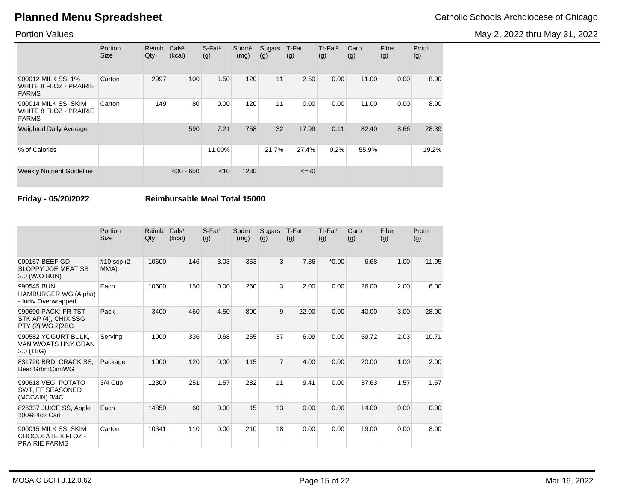May 2, 2022 thru May 31, 2022

### Portion Values

|                                                                       | Portion<br><b>Size</b> | Reimb<br>Qty | Cals <sup>1</sup><br>(kcal) | $S$ -Fat <sup>1</sup><br>(g) | Sodm <sup>1</sup><br>(mg) | Sugars<br>(g) | T-Fat<br>(g) | Tr-Fat <sup>2</sup><br>(g) | Carb<br>(g) | Fiber<br>(g) | Protn<br>(g) |
|-----------------------------------------------------------------------|------------------------|--------------|-----------------------------|------------------------------|---------------------------|---------------|--------------|----------------------------|-------------|--------------|--------------|
| 900012 MILK SS, 1%<br>WHITE 8 FLOZ - PRAIRIE<br><b>FARMS</b>          | Carton                 | 2997         | 100                         | 1.50                         | 120                       | 11            | 2.50         | 0.00                       | 11.00       | 0.00         | 8.00         |
| 900014 MILK SS, SKIM<br><b>WHITE 8 FLOZ - PRAIRIE</b><br><b>FARMS</b> | Carton                 | 149          | 80                          | 0.00                         | 120                       | 11            | 0.00         | 0.00                       | 11.00       | 0.00         | 8.00         |
| <b>Weighted Daily Average</b>                                         |                        |              | 590                         | 7.21                         | 758                       | 32            | 17.99        | 0.11                       | 82.40       | 8.66         | 28.39        |
| % of Calories                                                         |                        |              |                             | 11.00%                       |                           | 21.7%         | 27.4%        | 0.2%                       | 55.9%       |              | 19.2%        |
| <b>Weekly Nutrient Guideline</b>                                      |                        |              | $600 - 650$                 | $<$ 10                       | 1230                      |               | $\leq 30$    |                            |             |              |              |

**Friday - 05/20/2022 Reimbursable Meal Total 15000**

|                                                                    | Portion<br><b>Size</b> | Reimb<br>$Q$ ty | Cals <sup>1</sup><br>(kcal) | $S$ -Fat <sup>1</sup><br>(g) | Sodm <sup>1</sup><br>(mg) | Sugars<br>(g)  | T-Fat<br>(g) | Tr-Fat <sup>2</sup><br>(g) | Carb<br>(g) | Fiber<br>(g) | Protn<br>(g) |
|--------------------------------------------------------------------|------------------------|-----------------|-----------------------------|------------------------------|---------------------------|----------------|--------------|----------------------------|-------------|--------------|--------------|
| 000157 BEEF GD.<br>SLOPPY JOE MEAT SS<br>2.0 (W/O BUN)             | #10 scp (2)<br>MMA)    | 10600           | 146                         | 3.03                         | 353                       | 3 <sup>1</sup> | 7.36         | $*0.00$                    | 6.68        | 1.00         | 11.95        |
| 990545 BUN.<br>HAMBURGER WG (Alpha)<br>- Indiv Overwrapped         | Each                   | 10600           | 150                         | 0.00                         | 260                       | 3              | 2.00         | 0.00                       | 26.00       | 2.00         | 6.00         |
| 990690 PACK: FR TST<br>STK AP (4), CHIX SSG<br>PTY (2) WG 2(2BG    | Pack                   | 3400            | 460                         | 4.50                         | 800                       | 9              | 22.00        | 0.00                       | 40.00       | 3.00         | 28.00        |
| 990582 YOGURT BULK,<br>VAN W/OATS HNY GRAN<br>2.0(1B)              | Serving                | 1000            | 336                         | 0.68                         | 255                       | 37             | 6.09         | 0.00                       | 59.72       | 2.03         | 10.71        |
| 831720 BRD: CRACK SS.<br>Bear GrhmCinnWG                           | Package                | 1000            | 120                         | 0.00                         | 115                       | $\overline{7}$ | 4.00         | 0.00                       | 20.00       | 1.00         | 2.00         |
| 990618 VEG: POTATO<br>SWT. FF SEASONED<br>(MCCAIN) 3/4C            | 3/4 Cup                | 12300           | 251                         | 1.57                         | 282                       | 11             | 9.41         | 0.00                       | 37.63       | 1.57         | 1.57         |
| 826337 JUICE SS, Apple<br>100% 4oz Cart                            | Each                   | 14850           | 60                          | 0.00                         | 15                        | 13             | 0.00         | 0.00                       | 14.00       | 0.00         | 0.00         |
| 900015 MILK SS, SKIM<br>CHOCOLATE 8 FLOZ -<br><b>PRAIRIE FARMS</b> | Carton                 | 10341           | 110                         | 0.00                         | 210                       | 18             | 0.00         | 0.00                       | 19.00       | 0.00         | 8.00         |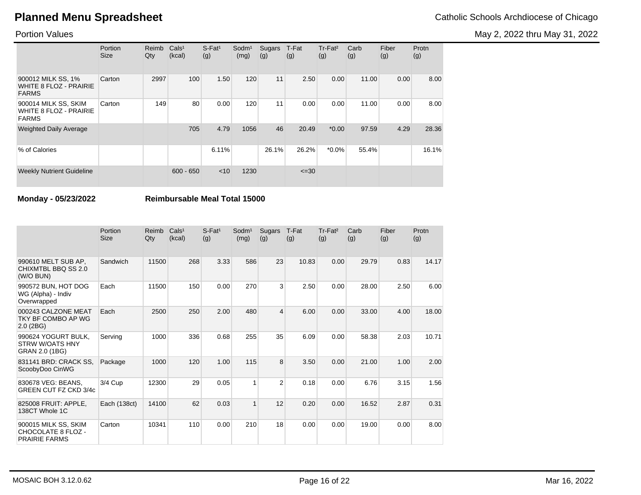May 2, 2022 thru May 31, 2022

### Portion Values

|                                                                       | Portion<br><b>Size</b> | Reimb<br>Qty | Cals <sup>1</sup><br>(kcal) | $S$ -Fat <sup>1</sup><br>(g) | Sodm <sup>1</sup><br>(mg) | Sugars<br>(g) | T-Fat<br>(g) | Tr-Fat <sup>2</sup><br>(g) | Carb<br>(g) | Fiber<br>(g) | Protn<br>(g) |
|-----------------------------------------------------------------------|------------------------|--------------|-----------------------------|------------------------------|---------------------------|---------------|--------------|----------------------------|-------------|--------------|--------------|
| 900012 MILK SS, 1%<br><b>WHITE 8 FLOZ - PRAIRIE</b><br><b>FARMS</b>   | Carton                 | 2997         | 100                         | 1.50                         | 120                       | 11            | 2.50         | 0.00                       | 11.00       | 0.00         | 8.00         |
| 900014 MILK SS, SKIM<br><b>WHITE 8 FLOZ - PRAIRIE</b><br><b>FARMS</b> | Carton                 | 149          | 80                          | 0.00                         | 120                       | 11            | 0.00         | 0.00                       | 11.00       | 0.00         | 8.00         |
| <b>Weighted Daily Average</b>                                         |                        |              | 705                         | 4.79                         | 1056                      | 46            | 20.49        | $*0.00$                    | 97.59       | 4.29         | 28.36        |
| % of Calories                                                         |                        |              |                             | 6.11%                        |                           | 26.1%         | 26.2%        | $*0.0\%$                   | 55.4%       |              | 16.1%        |
| <b>Weekly Nutrient Guideline</b>                                      |                        |              | $600 - 650$                 | $<$ 10                       | 1230                      |               | $\leq 30$    |                            |             |              |              |

**Monday - 05/23/2022 Reimbursable Meal Total 15000**

|                                                                    | Portion<br><b>Size</b> | Reimb<br>Qty | Cals <sup>1</sup><br>(kcal) | $S-Fat1$<br>(g) | Sodm <sup>1</sup><br>(mg) | Sugars<br>(g)           | T-Fat<br>(g) | Tr-Fat <sup>2</sup><br>(g) | Carb<br>(g) | Fiber<br>(g) | Protn<br>(g) |
|--------------------------------------------------------------------|------------------------|--------------|-----------------------------|-----------------|---------------------------|-------------------------|--------------|----------------------------|-------------|--------------|--------------|
| 990610 MELT SUB AP.<br>CHIXMTBL BBQ SS 2.0<br>(W/O BUN)            | Sandwich               | 11500        | 268                         | 3.33            | 586                       | 23                      | 10.83        | 0.00                       | 29.79       | 0.83         | 14.17        |
| 990572 BUN, HOT DOG<br>WG (Alpha) - Indiv<br>Overwrapped           | Each                   | 11500        | 150                         | 0.00            | 270                       | 3                       | 2.50         | 0.00                       | 28.00       | 2.50         | 6.00         |
| 000243 CALZONE MEAT<br>TKY BF COMBO AP WG<br>$2.0$ (2BG)           | Each                   | 2500         | 250                         | 2.00            | 480                       | $\overline{\mathbf{4}}$ | 6.00         | 0.00                       | 33.00       | 4.00         | 18.00        |
| 990624 YOGURT BULK,<br><b>STRW W/OATS HNY</b><br>GRAN 2.0 (1BG)    | Serving                | 1000         | 336                         | 0.68            | 255                       | 35                      | 6.09         | 0.00                       | 58.38       | 2.03         | 10.71        |
| 831141 BRD: CRACK SS.<br>ScoobyDoo CinWG                           | Package                | 1000         | 120                         | 1.00            | 115                       | 8                       | 3.50         | 0.00                       | 21.00       | 1.00         | 2.00         |
| 830678 VEG: BEANS,<br><b>GREEN CUT FZ CKD 3/4c</b>                 | 3/4 Cup                | 12300        | 29                          | 0.05            | 1                         | $\overline{2}$          | 0.18         | 0.00                       | 6.76        | 3.15         | 1.56         |
| 825008 FRUIT: APPLE,<br>138CT Whole 1C                             | Each (138ct)           | 14100        | 62                          | 0.03            | $\mathbf{1}$              | 12                      | 0.20         | 0.00                       | 16.52       | 2.87         | 0.31         |
| 900015 MILK SS, SKIM<br>CHOCOLATE 8 FLOZ -<br><b>PRAIRIE FARMS</b> | Carton                 | 10341        | 110                         | 0.00            | 210                       | 18                      | 0.00         | 0.00                       | 19.00       | 0.00         | 8.00         |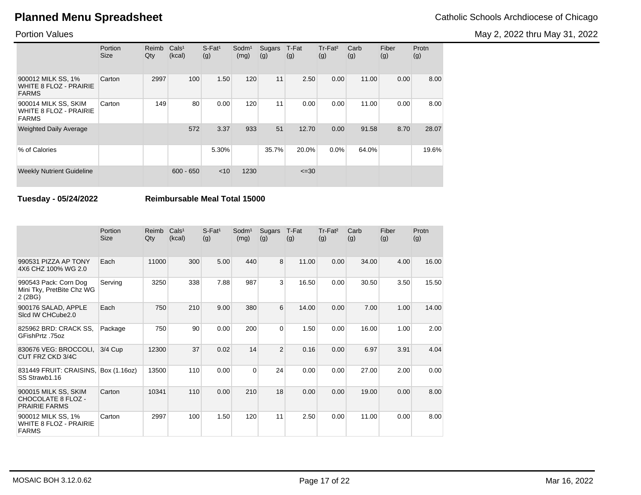May 2, 2022 thru May 31, 2022

### Portion Values

|                                                                       | Portion<br><b>Size</b> | Reimb<br>Qty | Cals <sup>1</sup><br>(kcal) | $S$ -Fat <sup>1</sup><br>(g) | Sodm <sup>1</sup><br>(mg) | Sugars<br>(g) | T-Fat<br>(g) | Tr-Fat <sup>2</sup><br>(g) | Carb<br>(g) | Fiber<br>(g) | Protn<br>(g) |
|-----------------------------------------------------------------------|------------------------|--------------|-----------------------------|------------------------------|---------------------------|---------------|--------------|----------------------------|-------------|--------------|--------------|
| 900012 MILK SS, 1%<br>WHITE 8 FLOZ - PRAIRIE<br><b>FARMS</b>          | Carton                 | 2997         | 100                         | 1.50                         | 120                       | 11            | 2.50         | 0.00                       | 11.00       | 0.00         | 8.00         |
| 900014 MILK SS, SKIM<br><b>WHITE 8 FLOZ - PRAIRIE</b><br><b>FARMS</b> | Carton                 | 149          | 80                          | 0.00                         | 120                       | 11            | 0.00         | 0.00                       | 11.00       | 0.00         | 8.00         |
| <b>Weighted Daily Average</b>                                         |                        |              | 572                         | 3.37                         | 933                       | 51            | 12.70        | 0.00                       | 91.58       | 8.70         | 28.07        |
| % of Calories                                                         |                        |              |                             | 5.30%                        |                           | 35.7%         | 20.0%        | 0.0%                       | 64.0%       |              | 19.6%        |
| <b>Weekly Nutrient Guideline</b>                                      |                        |              | $600 - 650$                 | $<$ 10                       | 1230                      |               | $\leq 30$    |                            |             |              |              |

**Tuesday - 05/24/2022 Reimbursable Meal Total 15000**

|                                                                     | Portion<br><b>Size</b> | Reimb<br>Qty | Cals <sup>1</sup><br>(kcal) | $S$ -Fat <sup>1</sup><br>(g) | Sodm <sup>1</sup><br>(mg) | <b>Sugars</b><br>(g) | T-Fat<br>(g) | Tr-Fat <sup>2</sup><br>(g) | Carb<br>(g) | Fiber<br>(g) | Protn<br>(g) |
|---------------------------------------------------------------------|------------------------|--------------|-----------------------------|------------------------------|---------------------------|----------------------|--------------|----------------------------|-------------|--------------|--------------|
| 990531 PIZZA AP TONY<br>4X6 CHZ 100% WG 2.0                         | Each                   | 11000        | 300                         | 5.00                         | 440                       | 8                    | 11.00        | 0.00                       | 34.00       | 4.00         | 16.00        |
| 990543 Pack: Corn Dog<br>Mini Tky, PretBite Chz WG<br>2(2BG)        | Serving                | 3250         | 338                         | 7.88                         | 987                       | 3                    | 16.50        | 0.00                       | 30.50       | 3.50         | 15.50        |
| 900176 SALAD, APPLE<br>Sicd IW CHCube2.0                            | Each                   | 750          | 210                         | 9.00                         | 380                       | 6                    | 14.00        | 0.00                       | 7.00        | 1.00         | 14.00        |
| 825962 BRD: CRACK SS,<br>GFishPrtz .75oz                            | Package                | 750          | 90                          | 0.00                         | 200                       | 0                    | 1.50         | 0.00                       | 16.00       | 1.00         | 2.00         |
| 830676 VEG: BROCCOLI,<br>CUT FRZ CKD 3/4C                           | 3/4 Cup                | 12300        | 37                          | 0.02                         | 14                        | $\overline{2}$       | 0.16         | 0.00                       | 6.97        | 3.91         | 4.04         |
| 831449 FRUIT: CRAISINS,<br>SS Strawb1.16                            | Box (1.16oz)           | 13500        | 110                         | 0.00                         | $\Omega$                  | 24                   | 0.00         | 0.00                       | 27.00       | 2.00         | 0.00         |
| 900015 MILK SS, SKIM<br>CHOCOLATE 8 FLOZ -<br><b>PRAIRIE FARMS</b>  | Carton                 | 10341        | 110                         | 0.00                         | 210                       | 18                   | 0.00         | 0.00                       | 19.00       | 0.00         | 8.00         |
| 900012 MILK SS, 1%<br><b>WHITE 8 FLOZ - PRAIRIE</b><br><b>FARMS</b> | Carton                 | 2997         | 100                         | 1.50                         | 120                       | 11                   | 2.50         | 0.00                       | 11.00       | 0.00         | 8.00         |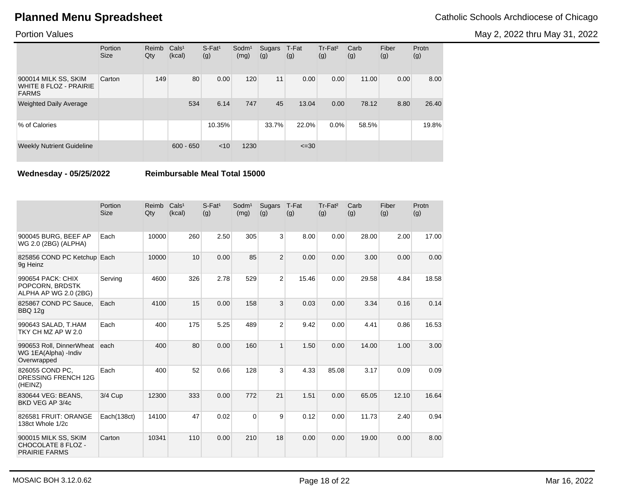May 2, 2022 thru May 31, 2022

### Portion Values

|                                                                | Portion<br><b>Size</b> | Reimb<br>Qty | Cals <sup>1</sup><br>(kcal) | $S$ -Fat <sup>1</sup><br>(g) | Sodm <sup>1</sup><br>(mg) | Sugars<br>(g) | T-Fat<br>(g) | Tr-Fat <sup>2</sup><br>(g) | Carb<br>(g) | Fiber<br>(g) | Protn<br>(g) |
|----------------------------------------------------------------|------------------------|--------------|-----------------------------|------------------------------|---------------------------|---------------|--------------|----------------------------|-------------|--------------|--------------|
| 900014 MILK SS, SKIM<br>WHITE 8 FLOZ - PRAIRIE<br><b>FARMS</b> | Carton                 | 149          | 80                          | 0.00                         | 120                       | 11            | 0.00         | 0.00                       | 11.00       | 0.00         | 8.00         |
| <b>Weighted Daily Average</b>                                  |                        |              | 534                         | 6.14                         | 747                       | 45            | 13.04        | 0.00                       | 78.12       | 8.80         | 26.40        |
| % of Calories                                                  |                        |              |                             | 10.35%                       |                           | 33.7%         | 22.0%        | $0.0\%$                    | 58.5%       |              | 19.8%        |
| <b>Weekly Nutrient Guideline</b>                               |                        |              | $600 - 650$                 | < 10                         | 1230                      |               | $\leq 30$    |                            |             |              |              |

**Wednesday - 05/25/2022 Reimbursable Meal Total 15000**

|                                                                    | Portion<br><b>Size</b> | Reimb<br>Qty | Cals <sup>1</sup><br>(kcal) | $S$ -Fat <sup>1</sup><br>(g) | Sodm <sup>1</sup><br>(mg) | Sugars<br>(g)  | T-Fat<br>(g) | Tr-Fat <sup>2</sup><br>(g) | Carb<br>(g) | Fiber<br>(g) | Protn<br>(g) |
|--------------------------------------------------------------------|------------------------|--------------|-----------------------------|------------------------------|---------------------------|----------------|--------------|----------------------------|-------------|--------------|--------------|
| 900045 BURG, BEEF AP<br>WG 2.0 (2BG) (ALPHA)                       | Each                   | 10000        | 260                         | 2.50                         | 305                       | 3              | 8.00         | 0.00                       | 28.00       | 2.00         | 17.00        |
| 825856 COND PC Ketchup Each<br>9g Heinz                            |                        | 10000        | 10                          | 0.00                         | 85                        | $\overline{2}$ | 0.00         | 0.00                       | 3.00        | 0.00         | 0.00         |
| 990654 PACK: CHIX<br>POPCORN, BRDSTK<br>ALPHA AP WG 2.0 (2BG)      | Serving                | 4600         | 326                         | 2.78                         | 529                       | $\overline{2}$ | 15.46        | 0.00                       | 29.58       | 4.84         | 18.58        |
| 825867 COND PC Sauce,<br><b>BBQ 12g</b>                            | Each                   | 4100         | 15                          | 0.00                         | 158                       | 3              | 0.03         | 0.00                       | 3.34        | 0.16         | 0.14         |
| 990643 SALAD, T.HAM<br>TKY CH MZ AP W 2.0                          | Each                   | 400          | 175                         | 5.25                         | 489                       | $\overline{2}$ | 9.42         | 0.00                       | 4.41        | 0.86         | 16.53        |
| 990653 Roll, DinnerWheat<br>WG 1EA(Alpha) - Indiv<br>Overwrapped   | each                   | 400          | 80                          | 0.00                         | 160                       | $\mathbf{1}$   | 1.50         | 0.00                       | 14.00       | 1.00         | 3.00         |
| 826055 COND PC.<br><b>DRESSING FRENCH 12G</b><br>(HEINZ)           | Each                   | 400          | 52                          | 0.66                         | 128                       | 3              | 4.33         | 85.08                      | 3.17        | 0.09         | 0.09         |
| 830644 VEG: BEANS.<br>BKD VEG AP 3/4c                              | $3/4$ Cup              | 12300        | 333                         | 0.00                         | 772                       | 21             | 1.51         | 0.00                       | 65.05       | 12.10        | 16.64        |
| 826581 FRUIT: ORANGE<br>138ct Whole 1/2c                           | Each(138ct)            | 14100        | 47                          | 0.02                         | $\Omega$                  | 9              | 0.12         | 0.00                       | 11.73       | 2.40         | 0.94         |
| 900015 MILK SS, SKIM<br>CHOCOLATE 8 FLOZ -<br><b>PRAIRIE FARMS</b> | Carton                 | 10341        | 110                         | 0.00                         | 210                       | 18             | 0.00         | 0.00                       | 19.00       | 0.00         | 8.00         |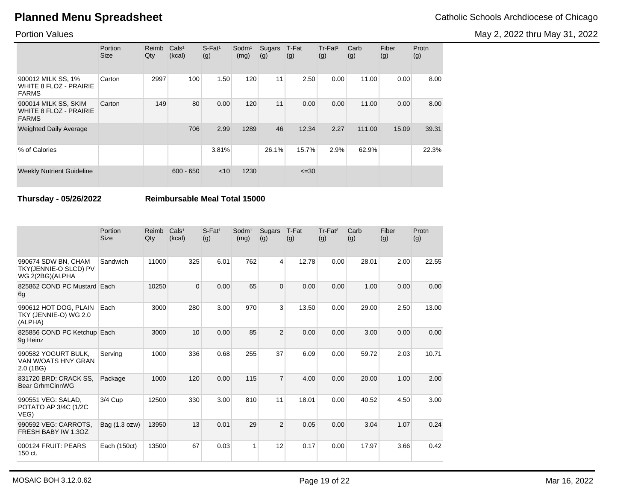May 2, 2022 thru May 31, 2022

### Portion Values

|                                                                       | Portion<br><b>Size</b> | Reimb<br>Qty | Cals <sup>1</sup><br>(kcal) | $S$ -Fat <sup>1</sup><br>(g) | Sodm <sup>1</sup><br>(mg) | Sugars<br>(g) | T-Fat<br>(g) | Tr-Fat <sup>2</sup><br>(g) | Carb<br>(g) | Fiber<br>(g) | Protn<br>(g) |
|-----------------------------------------------------------------------|------------------------|--------------|-----------------------------|------------------------------|---------------------------|---------------|--------------|----------------------------|-------------|--------------|--------------|
| 900012 MILK SS, 1%<br><b>WHITE 8 FLOZ - PRAIRIE</b><br><b>FARMS</b>   | Carton                 | 2997         | 100                         | 1.50                         | 120                       | 11            | 2.50         | 0.00                       | 11.00       | 0.00         | 8.00         |
| 900014 MILK SS, SKIM<br><b>WHITE 8 FLOZ - PRAIRIE</b><br><b>FARMS</b> | Carton                 | 149          | 80                          | 0.00                         | 120                       | 11            | 0.00         | 0.00                       | 11.00       | 0.00         | 8.00         |
| <b>Weighted Daily Average</b>                                         |                        |              | 706                         | 2.99                         | 1289                      | 46            | 12.34        | 2.27                       | 111.00      | 15.09        | 39.31        |
| % of Calories                                                         |                        |              |                             | 3.81%                        |                           | 26.1%         | 15.7%        | 2.9%                       | 62.9%       |              | 22.3%        |
| <b>Weekly Nutrient Guideline</b>                                      |                        |              | $600 - 650$                 | < 10                         | 1230                      |               | $\leq 30$    |                            |             |              |              |

**Thursday - 05/26/2022 Reimbursable Meal Total 15000**

|                                                                 | Portion<br>Size | Reimb<br>Qty | Cals <sup>1</sup><br>(kcal) | $S$ -Fat <sup>1</sup><br>(g) | Sodm <sup>1</sup><br>(mg) | <b>Sugars</b><br>(g) | T-Fat<br>(g) | Tr-Fat <sup>2</sup><br>(g) | Carb<br>(g) | Fiber<br>(g) | Protn<br>(g) |
|-----------------------------------------------------------------|-----------------|--------------|-----------------------------|------------------------------|---------------------------|----------------------|--------------|----------------------------|-------------|--------------|--------------|
| 990674 SDW BN, CHAM<br>TKY(JENNIE-O SLCD) PV<br>WG 2(2BG)(ALPHA | Sandwich        | 11000        | 325                         | 6.01                         | 762                       | 4                    | 12.78        | 0.00                       | 28.01       | 2.00         | 22.55        |
| 825862 COND PC Mustard Each<br>6g                               |                 | 10250        | $\Omega$                    | 0.00                         | 65                        | $\Omega$             | 0.00         | 0.00                       | 1.00        | 0.00         | 0.00         |
| 990612 HOT DOG, PLAIN<br>TKY (JENNIE-O) WG 2.0<br>(ALPHA)       | Each            | 3000         | 280                         | 3.00                         | 970                       | 3                    | 13.50        | 0.00                       | 29.00       | 2.50         | 13.00        |
| 825856 COND PC Ketchup Each<br>9g Heinz                         |                 | 3000         | 10                          | 0.00                         | 85                        | $\overline{2}$       | 0.00         | 0.00                       | 3.00        | 0.00         | 0.00         |
| 990582 YOGURT BULK,<br>VAN W/OATS HNY GRAN<br>2.0(1B)           | Serving         | 1000         | 336                         | 0.68                         | 255                       | 37                   | 6.09         | 0.00                       | 59.72       | 2.03         | 10.71        |
| 831720 BRD: CRACK SS.<br>Bear GrhmCinnWG                        | Package         | 1000         | 120                         | 0.00                         | 115                       | $\overline{7}$       | 4.00         | 0.00                       | 20.00       | 1.00         | 2.00         |
| 990551 VEG: SALAD,<br>POTATO AP 3/4C (1/2C<br>VEG)              | 3/4 Cup         | 12500        | 330                         | 3.00                         | 810                       | 11                   | 18.01        | 0.00                       | 40.52       | 4.50         | 3.00         |
| 990592 VEG: CARROTS,<br>FRESH BABY IW 1.3OZ                     | Bag (1.3 ozw)   | 13950        | 13                          | 0.01                         | 29                        | $\overline{2}$       | 0.05         | 0.00                       | 3.04        | 1.07         | 0.24         |
| 000124 FRUIT: PEARS<br>150 ct.                                  | Each (150ct)    | 13500        | 67                          | 0.03                         | 1                         | 12                   | 0.17         | 0.00                       | 17.97       | 3.66         | 0.42         |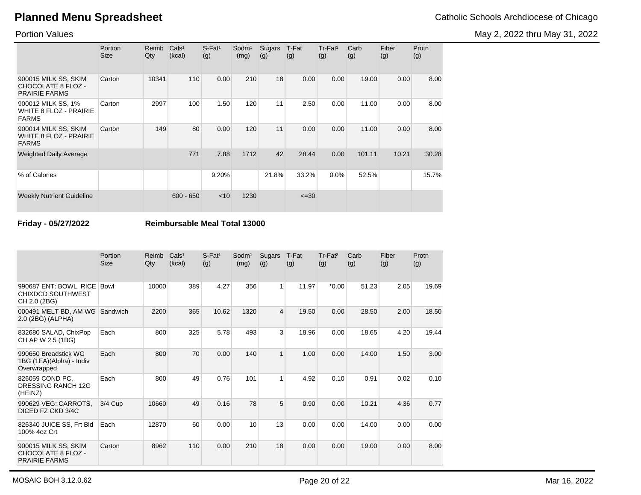May 2, 2022 thru May 31, 2022

Portion Values

|                                                                       | Portion<br><b>Size</b> | Reimb<br>Qty | Cals <sup>1</sup><br>(kcal) | $S$ -Fat <sup>1</sup><br>(g) | Sodm <sup>1</sup><br>(mg) | Sugars<br>(g) | T-Fat<br>(g) | $Tr-Fat2$<br>(g) | Carb<br>(g) | Fiber<br>(g) | Protn<br>(g) |
|-----------------------------------------------------------------------|------------------------|--------------|-----------------------------|------------------------------|---------------------------|---------------|--------------|------------------|-------------|--------------|--------------|
| 900015 MILK SS, SKIM<br>CHOCOLATE 8 FLOZ -<br><b>PRAIRIE FARMS</b>    | Carton                 | 10341        | 110                         | 0.00                         | 210                       | 18            | 0.00         | 0.00             | 19.00       | 0.00         | 8.00         |
| 900012 MILK SS, 1%<br><b>WHITE 8 FLOZ - PRAIRIE</b><br><b>FARMS</b>   | Carton                 | 2997         | 100                         | 1.50                         | 120                       | 11            | 2.50         | 0.00             | 11.00       | 0.00         | 8.00         |
| 900014 MILK SS, SKIM<br><b>WHITE 8 FLOZ - PRAIRIE</b><br><b>FARMS</b> | Carton                 | 149          | 80                          | 0.00                         | 120                       | 11            | 0.00         | 0.00             | 11.00       | 0.00         | 8.00         |
| <b>Weighted Daily Average</b>                                         |                        |              | 771                         | 7.88                         | 1712                      | 42            | 28.44        | 0.00             | 101.11      | 10.21        | 30.28        |
| % of Calories                                                         |                        |              |                             | 9.20%                        |                           | 21.8%         | 33.2%        | 0.0%             | 52.5%       |              | 15.7%        |
| <b>Weekly Nutrient Guideline</b>                                      |                        |              | $600 - 650$                 | $<$ 10                       | 1230                      |               | $\leq 30$    |                  |             |              |              |

**Friday - 05/27/2022 Reimbursable Meal Total 13000**

|                                                                           | Portion<br><b>Size</b> | Reimb<br>Qty | Cals <sup>1</sup><br>(kcal) | S-Fat <sup>1</sup><br>(g) | Sodm <sup>1</sup><br>(mg) | Sugars<br>(g)  | T-Fat<br>(g) | Tr-Fat <sup>2</sup><br>(g) | Carb<br>(g) | Fiber<br>(g) | Protn<br>(g) |
|---------------------------------------------------------------------------|------------------------|--------------|-----------------------------|---------------------------|---------------------------|----------------|--------------|----------------------------|-------------|--------------|--------------|
| 990687 ENT: BOWL, RICE<br><b>CHIXDCD SOUTHWEST</b><br>CH 2.0 (2BG)        | <b>Bowl</b>            | 10000        | 389                         | 4.27                      | 356                       | 1              | 11.97        | $*0.00*$                   | 51.23       | 2.05         | 19.69        |
| 000491 MELT BD, AM WG<br>2.0 (2BG) (ALPHA)                                | Sandwich               | 2200         | 365                         | 10.62                     | 1320                      | $\overline{4}$ | 19.50        | 0.00                       | 28.50       | 2.00         | 18.50        |
| 832680 SALAD, ChixPop<br>CH AP W 2.5 (1BG)                                | Each                   | 800          | 325                         | 5.78                      | 493                       | 3 <sup>1</sup> | 18.96        | 0.00                       | 18.65       | 4.20         | 19.44        |
| 990650 Breadstick WG<br>1BG (1EA)(Alpha) - Indiv<br>Overwrapped           | Each                   | 800          | 70                          | 0.00                      | 140                       | $\mathbf{1}$   | 1.00         | 0.00                       | 14.00       | 1.50         | 3.00         |
| 826059 COND PC.<br>DRESSING RANCH 12G<br>(HEINZ)                          | Each                   | 800          | 49                          | 0.76                      | 101                       | 1              | 4.92         | 0.10                       | 0.91        | 0.02         | 0.10         |
| 990629 VEG: CARROTS.<br>DICED FZ CKD 3/4C                                 | 3/4 Cup                | 10660        | 49                          | 0.16                      | 78                        | 5              | 0.90         | 0.00                       | 10.21       | 4.36         | 0.77         |
| 826340 JUICE SS, Frt Bld<br>100% 4oz Crt                                  | Each                   | 12870        | 60                          | 0.00                      | 10                        | 13             | 0.00         | 0.00                       | 14.00       | 0.00         | 0.00         |
| 900015 MILK SS, SKIM<br><b>CHOCOLATE 8 FLOZ -</b><br><b>PRAIRIE FARMS</b> | Carton                 | 8962         | 110                         | 0.00                      | 210                       | 18             | 0.00         | 0.00                       | 19.00       | 0.00         | 8.00         |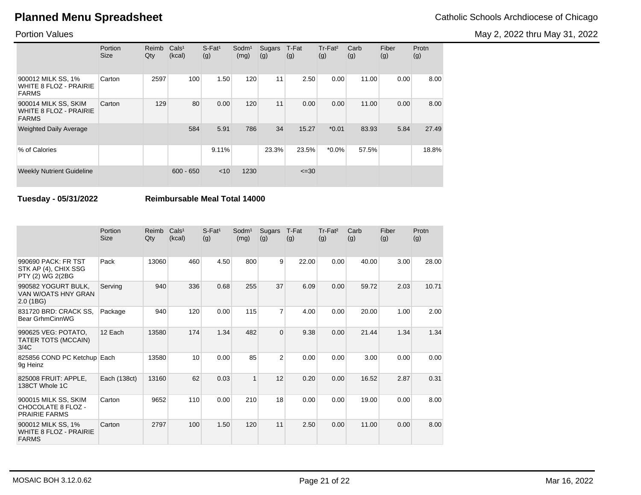May 2, 2022 thru May 31, 2022

### Portion Values

|                                                                       | Portion<br><b>Size</b> | Reimb<br>Qty | Cals <sup>1</sup><br>(kcal) | $S$ -Fat <sup>1</sup><br>(g) | Sodm <sup>1</sup><br>(mg) | Sugars<br>(g) | T-Fat<br>(g) | Tr-Fat <sup>2</sup><br>(g) | Carb<br>(g) | Fiber<br>(g) | Protn<br>(g) |
|-----------------------------------------------------------------------|------------------------|--------------|-----------------------------|------------------------------|---------------------------|---------------|--------------|----------------------------|-------------|--------------|--------------|
| 900012 MILK SS, 1%<br>WHITE 8 FLOZ - PRAIRIE<br><b>FARMS</b>          | Carton                 | 2597         | 100                         | 1.50                         | 120                       | 11            | 2.50         | 0.00                       | 11.00       | 0.00         | 8.00         |
| 900014 MILK SS, SKIM<br><b>WHITE 8 FLOZ - PRAIRIE</b><br><b>FARMS</b> | Carton                 | 129          | 80                          | 0.00                         | 120                       | 11            | 0.00         | 0.00                       | 11.00       | 0.00         | 8.00         |
| <b>Weighted Daily Average</b>                                         |                        |              | 584                         | 5.91                         | 786                       | 34            | 15.27        | $*0.01$                    | 83.93       | 5.84         | 27.49        |
| % of Calories                                                         |                        |              |                             | 9.11%                        |                           | 23.3%         | 23.5%        | $*0.0\%$                   | 57.5%       |              | 18.8%        |
| <b>Weekly Nutrient Guideline</b>                                      |                        |              | $600 - 650$                 | $<$ 10                       | 1230                      |               | $\leq 30$    |                            |             |              |              |

**Tuesday - 05/31/2022 Reimbursable Meal Total 14000**

|                                                                     | Portion<br><b>Size</b> | Reimb<br>Qty | Cals <sup>1</sup><br>(kcal) | $S$ -Fat <sup>1</sup><br>(g) | Sodm <sup>1</sup><br>(mg) | Sugars<br>(g)  | T-Fat<br>(g) | Tr-Fat <sup>2</sup><br>(g) | Carb<br>(g) | Fiber<br>(g) | Protn<br>(g) |
|---------------------------------------------------------------------|------------------------|--------------|-----------------------------|------------------------------|---------------------------|----------------|--------------|----------------------------|-------------|--------------|--------------|
| 990690 PACK: FR TST<br>STK AP (4), CHIX SSG<br>PTY (2) WG 2(2BG     | Pack                   | 13060        | 460                         | 4.50                         | 800                       | 9              | 22.00        | 0.00                       | 40.00       | 3.00         | 28.00        |
| 990582 YOGURT BULK,<br>VAN W/OATS HNY GRAN<br>2.0(1B)               | Serving                | 940          | 336                         | 0.68                         | 255                       | 37             | 6.09         | 0.00                       | 59.72       | 2.03         | 10.71        |
| 831720 BRD: CRACK SS.<br>Bear GrhmCinnWG                            | Package                | 940          | 120                         | 0.00                         | 115                       | $\overline{7}$ | 4.00         | 0.00                       | 20.00       | 1.00         | 2.00         |
| 990625 VEG: POTATO,<br>TATER TOTS (MCCAIN)<br>3/4C                  | 12 Each                | 13580        | 174                         | 1.34                         | 482                       | $\Omega$       | 9.38         | 0.00                       | 21.44       | 1.34         | 1.34         |
| 825856 COND PC Ketchup Each<br>9g Heinz                             |                        | 13580        | 10                          | 0.00                         | 85                        | $\overline{2}$ | 0.00         | 0.00                       | 3.00        | 0.00         | 0.00         |
| 825008 FRUIT: APPLE.<br>138CT Whole 1C                              | Each (138ct)           | 13160        | 62                          | 0.03                         | $\mathbf{1}$              | 12             | 0.20         | 0.00                       | 16.52       | 2.87         | 0.31         |
| 900015 MILK SS, SKIM<br>CHOCOLATE 8 FLOZ -<br><b>PRAIRIE FARMS</b>  | Carton                 | 9652         | 110                         | 0.00                         | 210                       | 18             | 0.00         | 0.00                       | 19.00       | 0.00         | 8.00         |
| 900012 MILK SS, 1%<br><b>WHITE 8 FLOZ - PRAIRIE</b><br><b>FARMS</b> | Carton                 | 2797         | 100                         | 1.50                         | 120                       | 11             | 2.50         | 0.00                       | 11.00       | 0.00         | 8.00         |